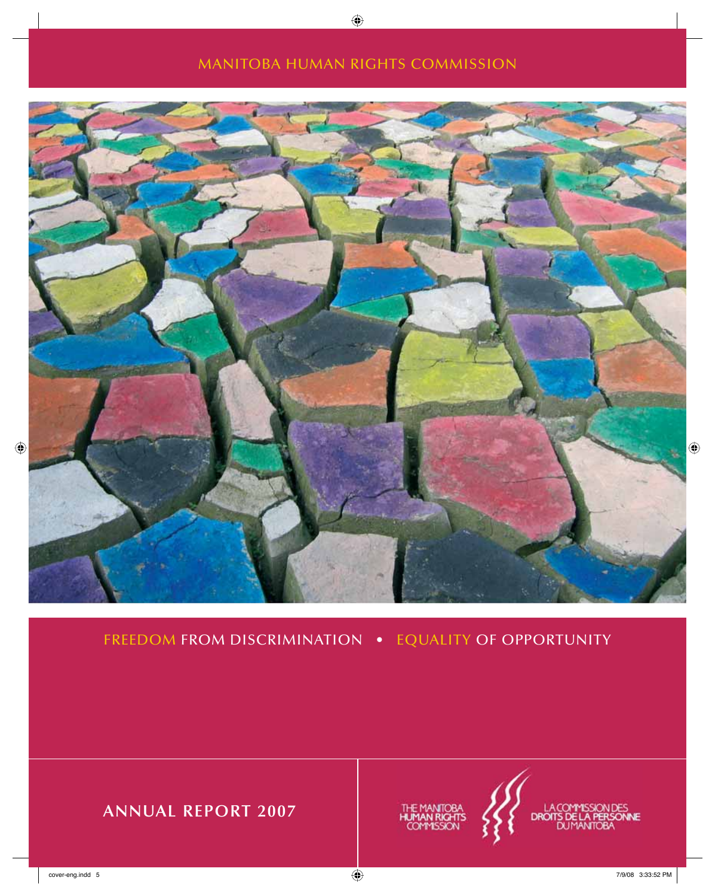## MANITOBA HUMAN RIGHTS COMMISSION



FREEDOM FROM DISCRIMINATION • EQUALITY OF OPPORTUNITY

**ANNUAL REPORT 2007**



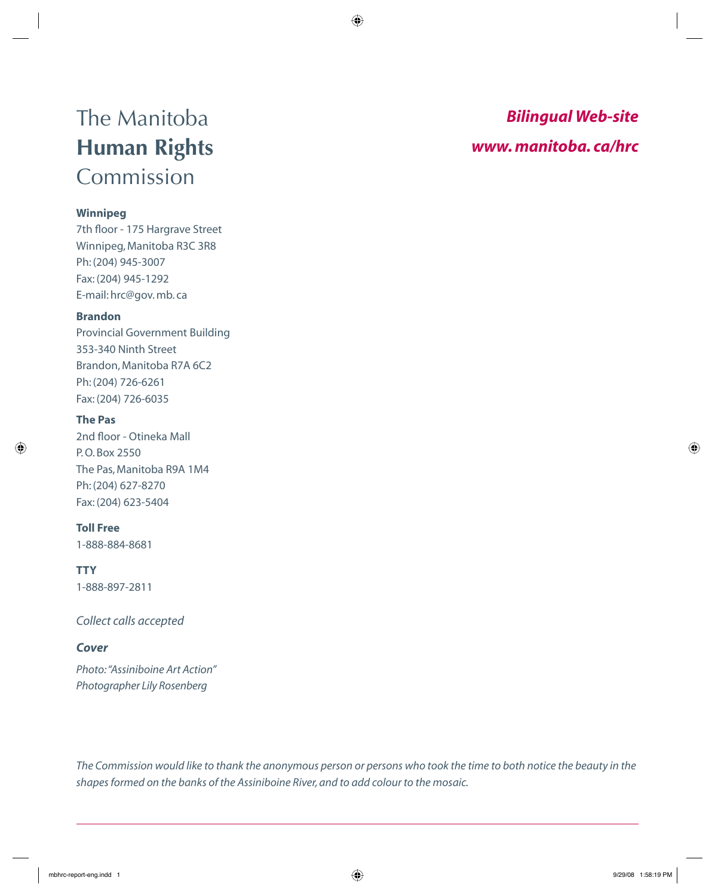## The Manitoba **Human Rights**  Commission

### **Winnipeg**

7th floor - 175 Hargrave Street Winnipeg, Manitoba R3C 3R8 Ph: (204) 945-3007 Fax: (204) 945-1292 E-mail: hrc@gov. mb. ca

#### **Brandon**

Provincial Government Building 353-340 Ninth Street Brandon, Manitoba R7A 6C2 Ph: (204) 726-6261 Fax: (204) 726-6035

### **The Pas**

2nd floor - Otineka Mall P. O. Box 2550 The Pas, Manitoba R9A 1M4 Ph: (204) 627-8270 Fax: (204) 623-5404

### **Toll Free**

1-888-884-8681

**TTY**

1-888-897-2811

*Collect calls accepted*

#### *Cover*

*Photo: "Assiniboine Art Action" Photographer Lily Rosenberg* 

## *Bilingual Web-site www. manitoba. ca/hrc*

*The Commission would like to thank the anonymous person or persons who took the time to both notice the beauty in the shapes formed on the banks of the Assiniboine River, and to add colour to the mosaic.*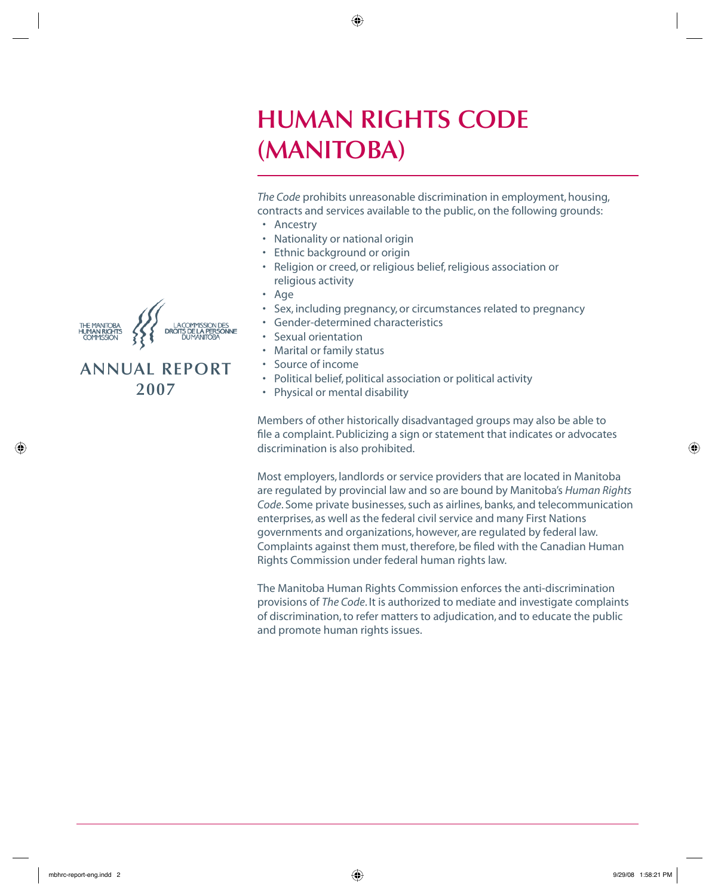## **HUMAN RIGHTS CODE (MANITOBA)**

*The Code* prohibits unreasonable discrimination in employment, housing, contracts and services available to the public, on the following grounds:

- Ancestry
- Nationality or national origin
- Ethnic background or origin
- Religion or creed, or religious belief, religious association or religious activity
- Age
- Sex, including pregnancy, or circumstances related to pregnancy
- Gender-determined characteristics
- Sexual orientation
- Marital or family status
- Source of income
- Political belief, political association or political activity
- Physical or mental disability

Members of other historically disadvantaged groups may also be able to file a complaint. Publicizing a sign or statement that indicates or advocates discrimination is also prohibited.

Most employers, landlords or service providers that are located in Manitoba are regulated by provincial law and so are bound by Manitoba's *Human Rights Code*. Some private businesses, such as airlines, banks, and telecommunication enterprises, as well as the federal civil service and many First Nations governments and organizations, however, are regulated by federal law. Complaints against them must, therefore, be filed with the Canadian Human Rights Commission under federal human rights law.

The Manitoba Human Rights Commission enforces the anti-discrimination provisions of *The Code*. It is authorized to mediate and investigate complaints of discrimination, to refer matters to adjudication, and to educate the public and promote human rights issues.



## **ANNUAL REPORT 2007**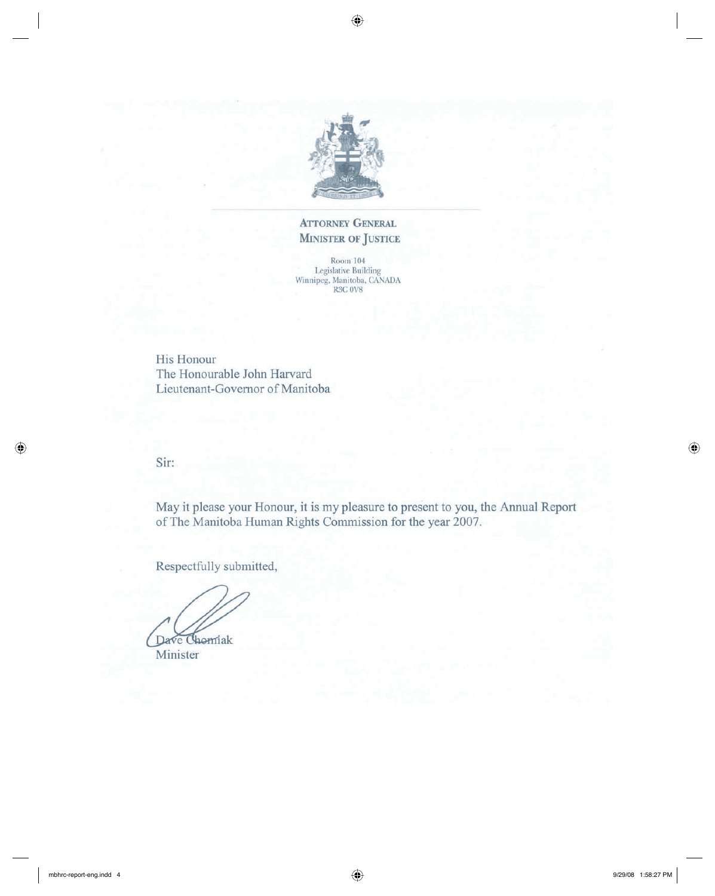

### **ATTORNEY GENERAL MINISTER OF JUSTICE**

 $\begin{tabular}{c} &\text{Room 104}\\ \text{Legislative Building}\\ \text{Winnipeg, Manitoba, CANADA}\\ \text{R3C 0V8} \end{tabular}$ 

His Honour The Honourable John Harvard Lieutenant-Governor of Manitoba

Sir:

May it please your Honour, it is my pleasure to present to you, the Annual Report of The Manitoba Human Rights Commission for the year 2007.

Respectfully submitted,

Dave Chomiak

Minister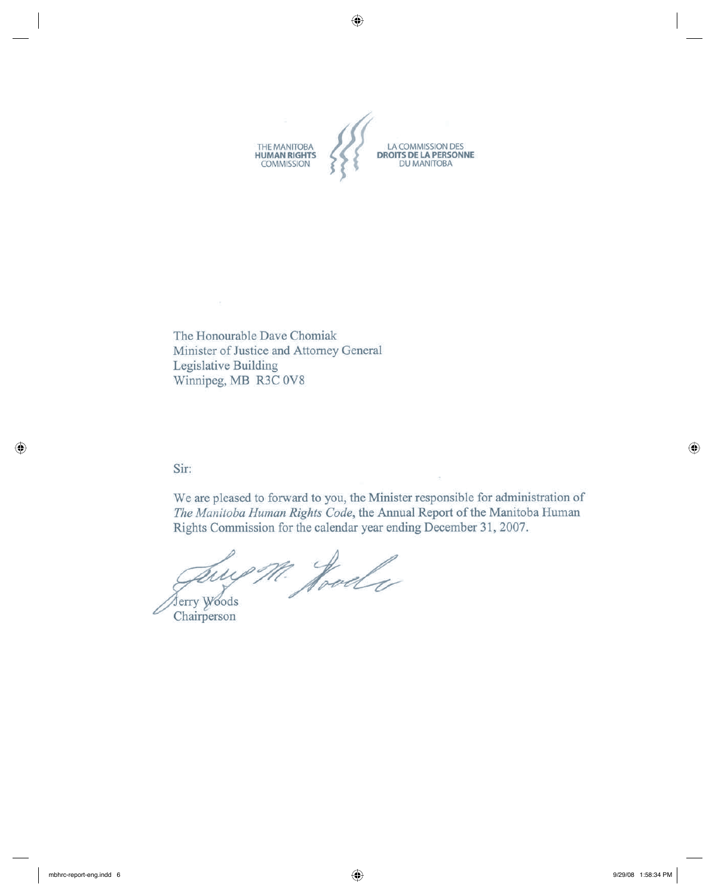

The Honourable Dave Chomiak Minister of Justice and Attorney General Legislative Building Winnipeg, MB R3C 0V8

#### Sir:

We are pleased to forward to you, the Minister responsible for administration of The Manitoba Human Rights Code, the Annual Report of the Manitoba Human Rights Commission for the calendar year ending December 31, 2007.

July M. Hood

Chairperson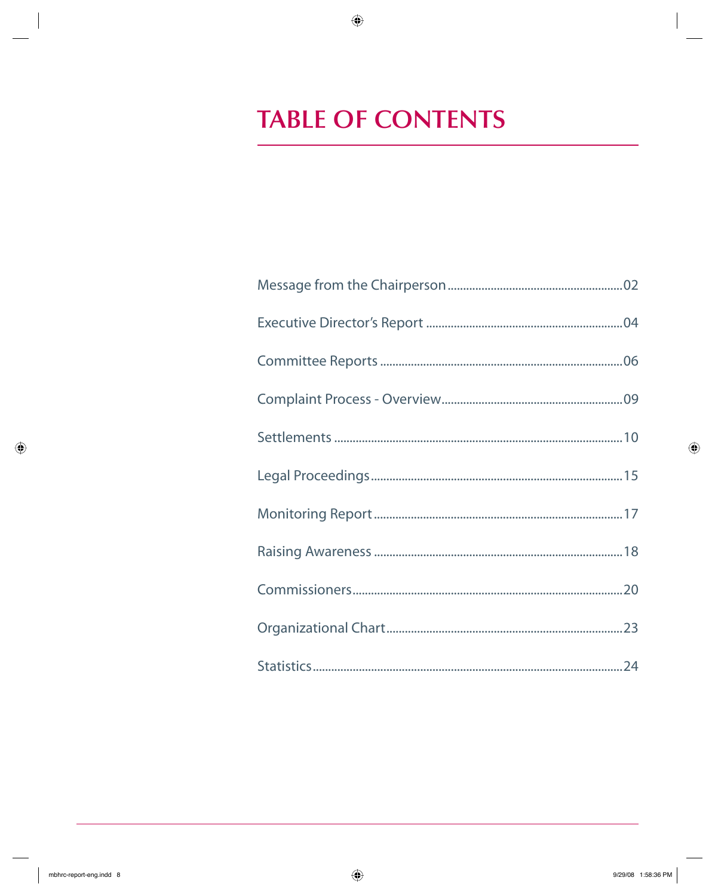## **TABLE OF CONTENTS**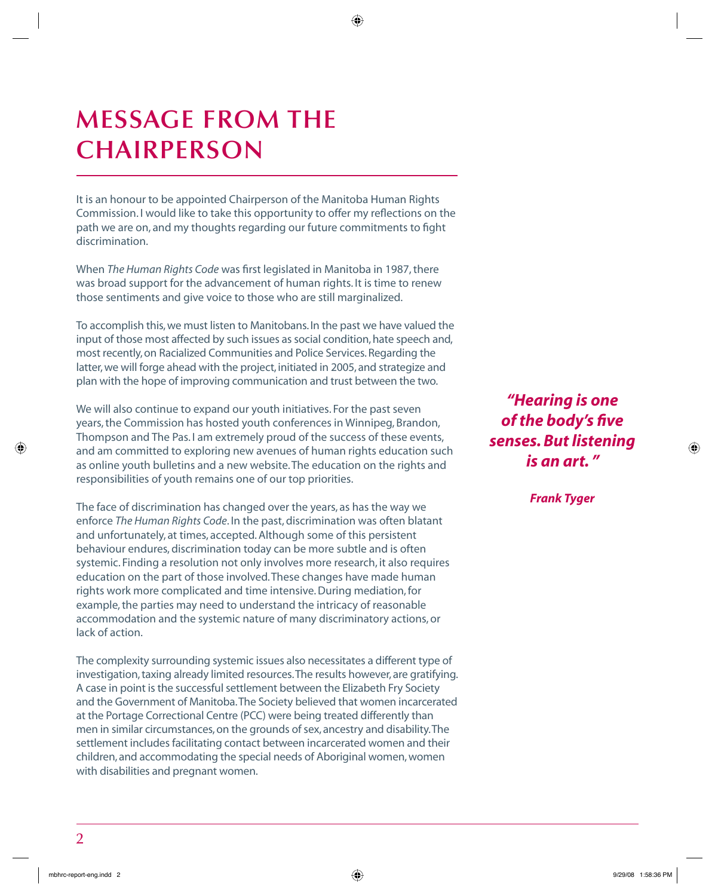## **MESSAGE FROM THE CHAIRPERSON**

It is an honour to be appointed Chairperson of the Manitoba Human Rights Commission. I would like to take this opportunity to offer my reflections on the path we are on, and my thoughts regarding our future commitments to fight discrimination.

When *The Human Rights Code* was first legislated in Manitoba in 1987, there was broad support for the advancement of human rights. It is time to renew those sentiments and give voice to those who are still marginalized.

To accomplish this, we must listen to Manitobans. In the past we have valued the input of those most affected by such issues as social condition, hate speech and, most recently, on Racialized Communities and Police Services. Regarding the latter, we will forge ahead with the project, initiated in 2005, and strategize and plan with the hope of improving communication and trust between the two.

We will also continue to expand our youth initiatives. For the past seven years, the Commission has hosted youth conferences in Winnipeg, Brandon, Thompson and The Pas. I am extremely proud of the success of these events, and am committed to exploring new avenues of human rights education such as online youth bulletins and a new website. The education on the rights and responsibilities of youth remains one of our top priorities.

The face of discrimination has changed over the years, as has the way we enforce *The Human Rights Code*. In the past, discrimination was often blatant and unfortunately, at times, accepted. Although some of this persistent behaviour endures, discrimination today can be more subtle and is often systemic. Finding a resolution not only involves more research, it also requires education on the part of those involved. These changes have made human rights work more complicated and time intensive. During mediation, for example, the parties may need to understand the intricacy of reasonable accommodation and the systemic nature of many discriminatory actions, or lack of action.

The complexity surrounding systemic issues also necessitates a different type of investigation, taxing already limited resources. The results however, are gratifying. A case in point is the successful settlement between the Elizabeth Fry Society and the Government of Manitoba. The Society believed that women incarcerated at the Portage Correctional Centre (PCC) were being treated differently than men in similar circumstances, on the grounds of sex, ancestry and disability. The settlement includes facilitating contact between incarcerated women and their children, and accommodating the special needs of Aboriginal women, women with disabilities and pregnant women.

*"Hearing is one*  **of the body's five** *senses. But listening is an art. "*

*Frank Tyger*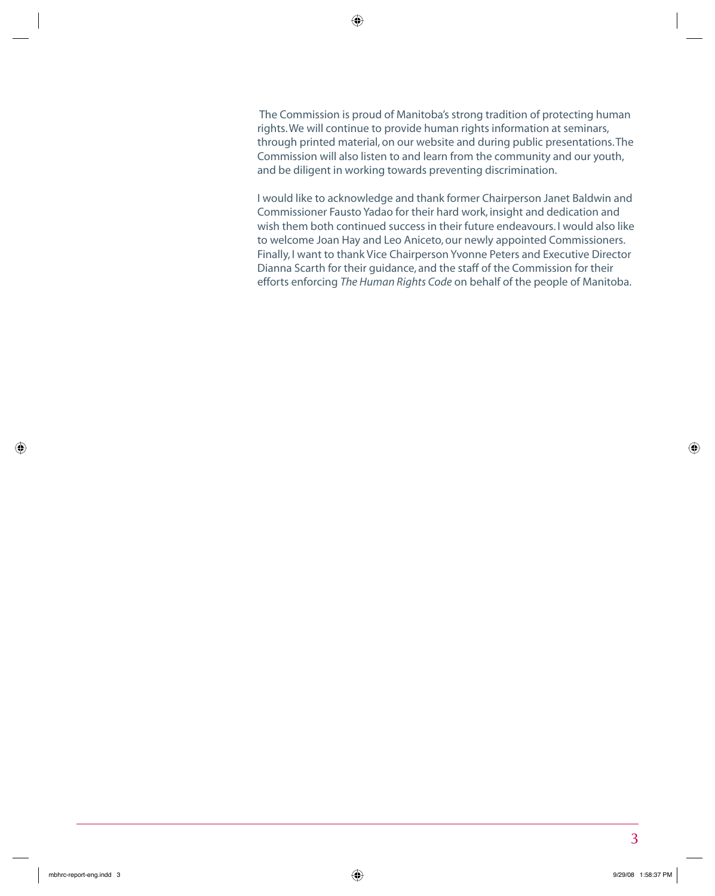The Commission is proud of Manitoba's strong tradition of protecting human rights. We will continue to provide human rights information at seminars, through printed material, on our website and during public presentations. The Commission will also listen to and learn from the community and our youth, and be diligent in working towards preventing discrimination.

I would like to acknowledge and thank former Chairperson Janet Baldwin and Commissioner Fausto Yadao for their hard work, insight and dedication and wish them both continued success in their future endeavours. I would also like to welcome Joan Hay and Leo Aniceto, our newly appointed Commissioners. Finally, I want to thank Vice Chairperson Yvonne Peters and Executive Director Dianna Scarth for their guidance, and the staff of the Commission for their efforts enforcing *The Human Rights Code* on behalf of the people of Manitoba.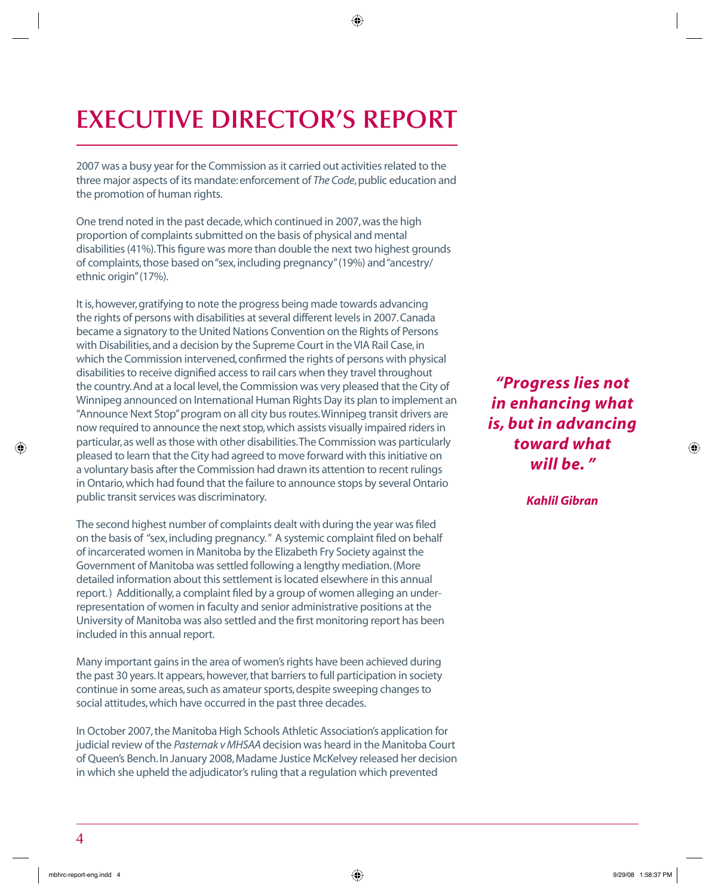# **EXECUTIVE DIRECTOR'S REPORT**

2007 was a busy year for the Commission as it carried out activities related to the three major aspects of its mandate: enforcement of *The Code*, public education and the promotion of human rights.

One trend noted in the past decade, which continued in 2007, was the high proportion of complaints submitted on the basis of physical and mental disabilities (41%). This figure was more than double the next two highest grounds of complaints, those based on "sex, including pregnancy" (19%) and "ancestry/ ethnic origin" (17%).

It is, however, gratifying to note the progress being made towards advancing the rights of persons with disabilities at several different levels in 2007. Canada became a signatory to the United Nations Convention on the Rights of Persons with Disabilities, and a decision by the Supreme Court in the VIA Rail Case, in which the Commission intervened, confirmed the rights of persons with physical disabilities to receive dignified access to rail cars when they travel throughout the country. And at a local level, the Commission was very pleased that the City of Winnipeg announced on International Human Rights Day its plan to implement an "Announce Next Stop" program on all city bus routes. Winnipeg transit drivers are now required to announce the next stop, which assists visually impaired riders in particular, as well as those with other disabilities. The Commission was particularly pleased to learn that the City had agreed to move forward with this initiative on a voluntary basis after the Commission had drawn its attention to recent rulings in Ontario, which had found that the failure to announce stops by several Ontario public transit services was discriminatory.

The second highest number of complaints dealt with during the year was filed on the basis of "sex, including pregnancy." A systemic complaint filed on behalf of incarcerated women in Manitoba by the Elizabeth Fry Society against the Government of Manitoba was settled following a lengthy mediation. (More detailed information about this settlement is located elsewhere in this annual report.) Additionally, a complaint filed by a group of women alleging an underrepresentation of women in faculty and senior administrative positions at the University of Manitoba was also settled and the first monitoring report has been included in this annual report.

Many important gains in the area of women's rights have been achieved during the past 30 years. It appears, however, that barriers to full participation in society continue in some areas, such as amateur sports, despite sweeping changes to social attitudes, which have occurred in the past three decades.

In October 2007, the Manitoba High Schools Athletic Association's application for judicial review of the *Pasternak v MHSAA* decision was heard in the Manitoba Court of Queen's Bench. In January 2008, Madame Justice McKelvey released her decision in which she upheld the adjudicator's ruling that a regulation which prevented

*"Progress lies not in enhancing what is, but in advancing toward what will be. "*

*Kahlil Gibran*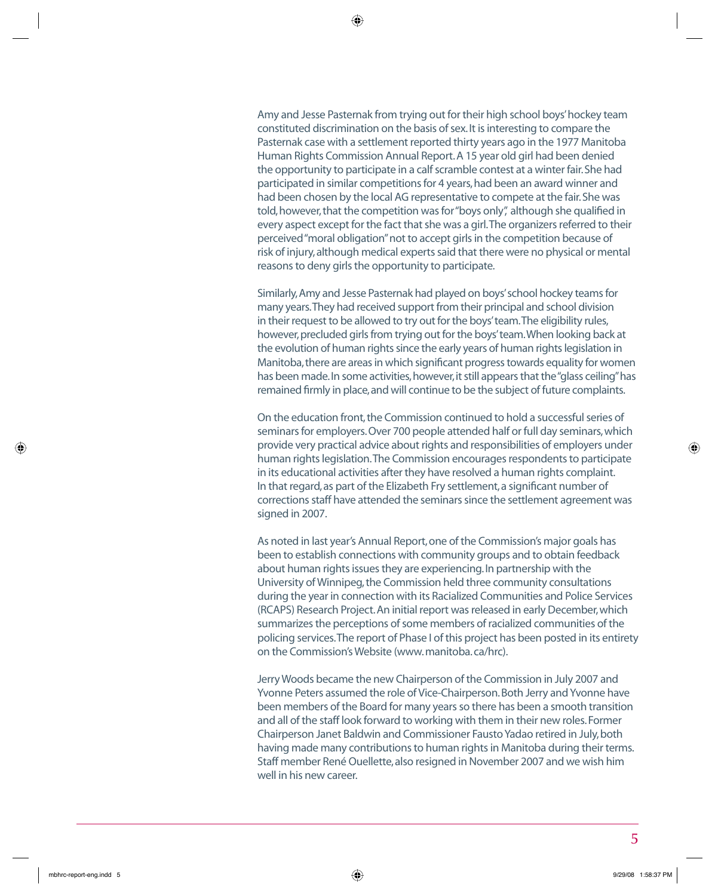Amy and Jesse Pasternak from trying out for their high school boys' hockey team constituted discrimination on the basis of sex. It is interesting to compare the Pasternak case with a settlement reported thirty years ago in the 1977 Manitoba Human Rights Commission Annual Report. A 15 year old girl had been denied the opportunity to participate in a calf scramble contest at a winter fair. She had participated in similar competitions for 4 years, had been an award winner and had been chosen by the local AG representative to compete at the fair. She was told, however, that the competition was for "boys only", although she qualified in every aspect except for the fact that she was a girl. The organizers referred to their perceived "moral obligation" not to accept girls in the competition because of risk of injury, although medical experts said that there were no physical or mental reasons to deny girls the opportunity to participate.

Similarly, Amy and Jesse Pasternak had played on boys' school hockey teams for many years. They had received support from their principal and school division in their request to be allowed to try out for the boys' team. The eligibility rules, however, precluded girls from trying out for the boys' team. When looking back at the evolution of human rights since the early years of human rights legislation in Manitoba, there are areas in which significant progress towards equality for women has been made. In some activities, however, it still appears that the "glass ceiling" has remained firmly in place, and will continue to be the subject of future complaints.

On the education front, the Commission continued to hold a successful series of seminars for employers. Over 700 people attended half or full day seminars, which provide very practical advice about rights and responsibilities of employers under human rights legislation. The Commission encourages respondents to participate in its educational activities after they have resolved a human rights complaint. In that regard, as part of the Elizabeth Fry settlement, a significant number of corrections staff have attended the seminars since the settlement agreement was signed in 2007.

As noted in last year's Annual Report, one of the Commission's major goals has been to establish connections with community groups and to obtain feedback about human rights issues they are experiencing. In partnership with the University of Winnipeg, the Commission held three community consultations during the year in connection with its Racialized Communities and Police Services (RCAPS) Research Project. An initial report was released in early December, which summarizes the perceptions of some members of racialized communities of the policing services. The report of Phase I of this project has been posted in its entirety on the Commission's Website (www. manitoba. ca/hrc).

Jerry Woods became the new Chairperson of the Commission in July 2007 and Yvonne Peters assumed the role of Vice-Chairperson. Both Jerry and Yvonne have been members of the Board for many years so there has been a smooth transition and all of the staff look forward to working with them in their new roles. Former Chairperson Janet Baldwin and Commissioner Fausto Yadao retired in July, both having made many contributions to human rights in Manitoba during their terms. Staff member René Ouellette, also resigned in November 2007 and we wish him well in his new career.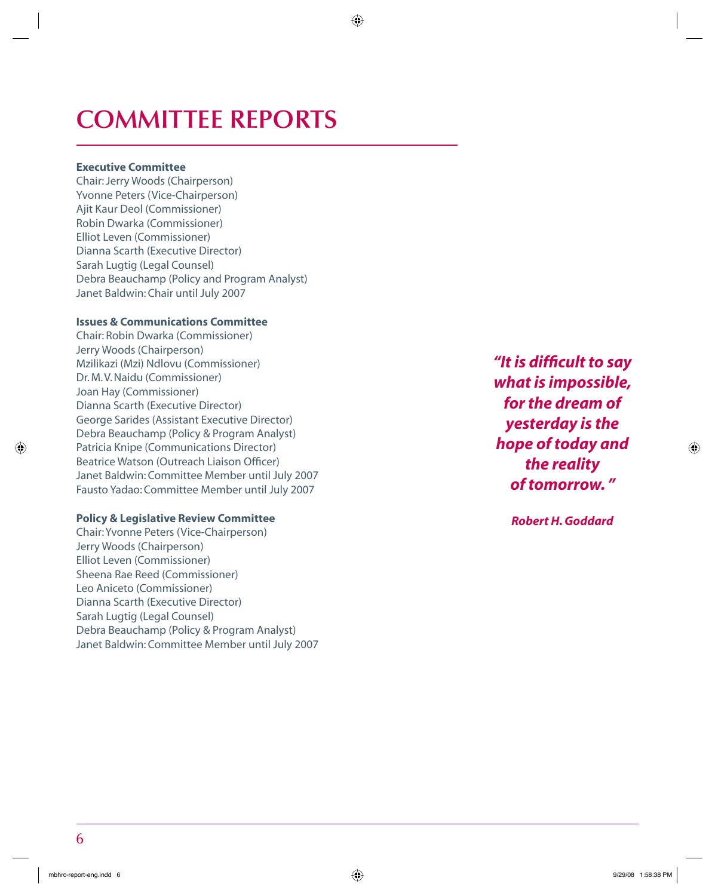## **COMMITTEE REPORTS**

#### **Executive Committee**

Chair: Jerry Woods (Chairperson) Yvonne Peters (Vice-Chairperson) Ajit Kaur Deol (Commissioner) Robin Dwarka (Commissioner) Elliot Leven (Commissioner) Dianna Scarth (Executive Director) Sarah Lugtig (Legal Counsel) Debra Beauchamp (Policy and Program Analyst) Janet Baldwin: Chair until July 2007

### **Issues & Communications Committee**

Chair: Robin Dwarka (Commissioner) Jerry Woods (Chairperson) Mzilikazi (Mzi) Ndlovu (Commissioner) Dr. M. V. Naidu (Commissioner) Joan Hay (Commissioner) Dianna Scarth (Executive Director) George Sarides (Assistant Executive Director) Debra Beauchamp (Policy & Program Analyst) Patricia Knipe (Communications Director) Beatrice Watson (Outreach Liaison Officer) Janet Baldwin: Committee Member until July 2007 Fausto Yadao: Committee Member until July 2007

### **Policy & Legislative Review Committee**

Chair: Yvonne Peters (Vice-Chairperson) Jerry Woods (Chairperson) Elliot Leven (Commissioner) Sheena Rae Reed (Commissioner) Leo Aniceto (Commissioner) Dianna Scarth (Executive Director) Sarah Lugtig (Legal Counsel) Debra Beauchamp (Policy & Program Analyst) Janet Baldwin: Committee Member until July 2007 *"It is diffi cult to say what is impossible, for the dream of yesterday is the hope of today and the reality of tomorrow. "*

*Robert H. Goddard*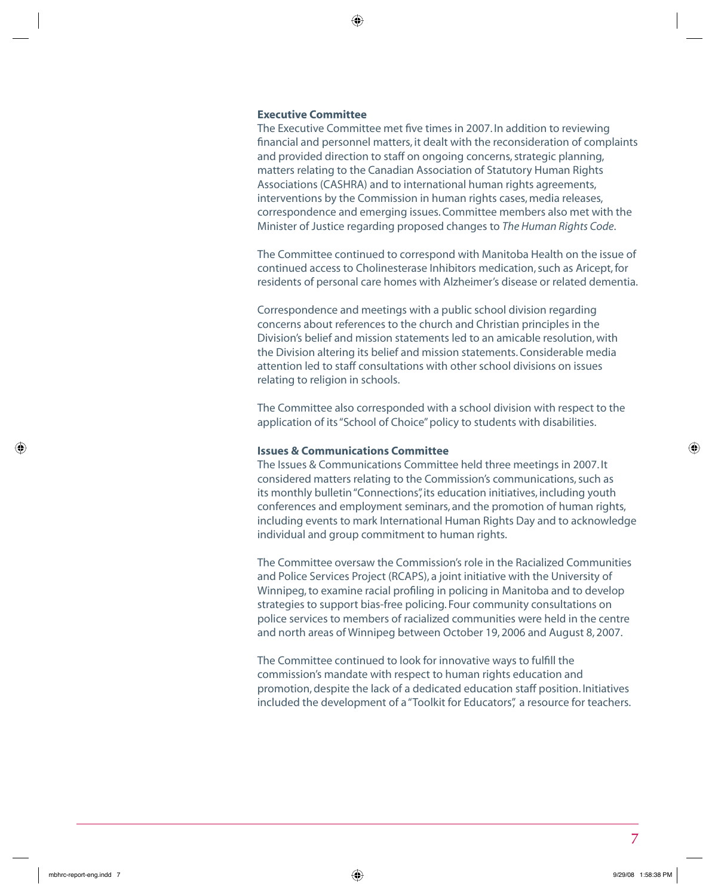#### **Executive Committee**

The Executive Committee met five times in 2007. In addition to reviewing financial and personnel matters, it dealt with the reconsideration of complaints and provided direction to staff on ongoing concerns, strategic planning, matters relating to the Canadian Association of Statutory Human Rights Associations (CASHRA) and to international human rights agreements, interventions by the Commission in human rights cases, media releases, correspondence and emerging issues. Committee members also met with the Minister of Justice regarding proposed changes to *The Human Rights Code*.

The Committee continued to correspond with Manitoba Health on the issue of continued access to Cholinesterase Inhibitors medication, such as Aricept, for residents of personal care homes with Alzheimer's disease or related dementia.

Correspondence and meetings with a public school division regarding concerns about references to the church and Christian principles in the Division's belief and mission statements led to an amicable resolution, with the Division altering its belief and mission statements. Considerable media attention led to staff consultations with other school divisions on issues relating to religion in schools.

The Committee also corresponded with a school division with respect to the application of its "School of Choice" policy to students with disabilities.

#### **Issues & Communications Committee**

The Issues & Communications Committee held three meetings in 2007. It considered matters relating to the Commission's communications, such as its monthly bulletin "Connections", its education initiatives, including youth conferences and employment seminars, and the promotion of human rights, including events to mark International Human Rights Day and to acknowledge individual and group commitment to human rights.

The Committee oversaw the Commission's role in the Racialized Communities and Police Services Project (RCAPS), a joint initiative with the University of Winnipeg, to examine racial profiling in policing in Manitoba and to develop strategies to support bias-free policing. Four community consultations on police services to members of racialized communities were held in the centre and north areas of Winnipeg between October 19, 2006 and August 8, 2007.

The Committee continued to look for innovative ways to fulfill the commission's mandate with respect to human rights education and promotion, despite the lack of a dedicated education staff position. Initiatives included the development of a "Toolkit for Educators", a resource for teachers.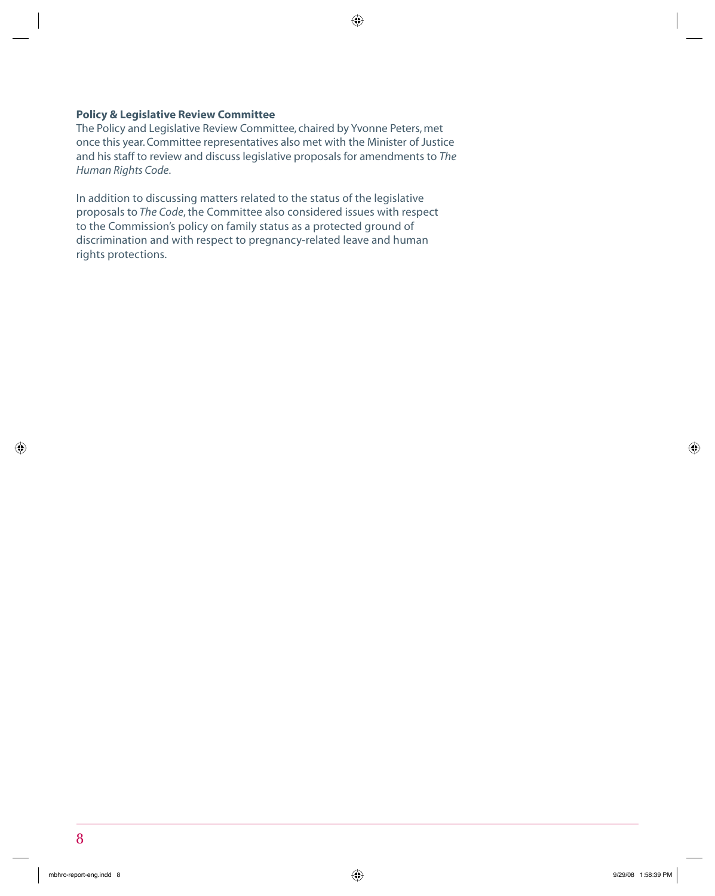#### **Policy & Legislative Review Committee**

The Policy and Legislative Review Committee, chaired by Yvonne Peters, met once this year. Committee representatives also met with the Minister of Justice and his staff to review and discuss legislative proposals for amendments to *The Human Rights Code*.

In addition to discussing matters related to the status of the legislative proposals to *The Code*, the Committee also considered issues with respect to the Commission's policy on family status as a protected ground of discrimination and with respect to pregnancy-related leave and human rights protections.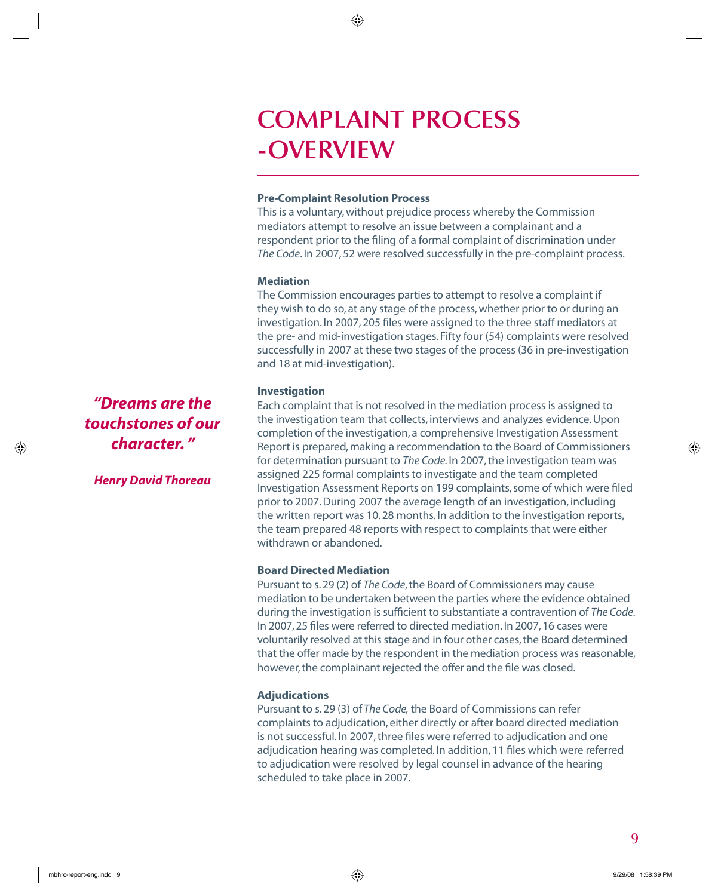## **COMPLAINT PROCESS -OVERVIEW**

#### **Pre-Complaint Resolution Process**

This is a voluntary, without prejudice process whereby the Commission mediators attempt to resolve an issue between a complainant and a respondent prior to the filing of a formal complaint of discrimination under *The Code*. In 2007, 52 were resolved successfully in the pre-complaint process.

### **Mediation**

The Commission encourages parties to attempt to resolve a complaint if they wish to do so, at any stage of the process, whether prior to or during an investigation. In 2007, 205 files were assigned to the three staff mediators at the pre- and mid-investigation stages. Fifty four (54) complaints were resolved successfully in 2007 at these two stages of the process (36 in pre-investigation and 18 at mid-investigation).

### **Investigation**

Each complaint that is not resolved in the mediation process is assigned to the investigation team that collects, interviews and analyzes evidence. Upon completion of the investigation, a comprehensive Investigation Assessment Report is prepared, making a recommendation to the Board of Commissioners for determination pursuant to *The Code.* In 2007, the investigation team was assigned 225 formal complaints to investigate and the team completed Investigation Assessment Reports on 199 complaints, some of which were filed prior to 2007. During 2007 the average length of an investigation, including the written report was 10. 28 months. In addition to the investigation reports, the team prepared 48 reports with respect to complaints that were either withdrawn or abandoned.

### **Board Directed Mediation**

Pursuant to s. 29 (2) of *The Code*, the Board of Commissioners may cause mediation to be undertaken between the parties where the evidence obtained during the investigation is sufficient to substantiate a contravention of *The Code*. In 2007, 25 files were referred to directed mediation. In 2007, 16 cases were voluntarily resolved at this stage and in four other cases, the Board determined that the offer made by the respondent in the mediation process was reasonable, however, the complainant rejected the offer and the file was closed.

### **Adjudications**

Pursuant to s. 29 (3) of *The Code,* the Board of Commissions can refer complaints to adjudication, either directly or after board directed mediation is not successful. In 2007, three files were referred to adjudication and one adjudication hearing was completed. In addition, 11 files which were referred to adjudication were resolved by legal counsel in advance of the hearing scheduled to take place in 2007.

*"Dreams are the touchstones of our character. "*

*Henry David Thoreau*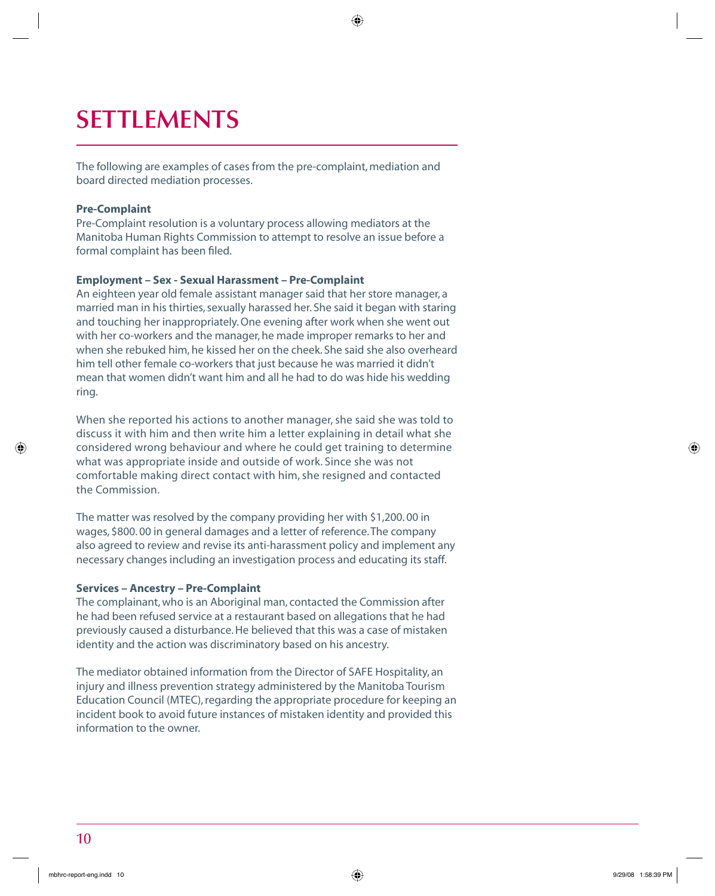# **SETTLEMENTS**

The following are examples of cases from the pre-complaint, mediation and board directed mediation processes.

#### **Pre-Complaint**

Pre-Complaint resolution is a voluntary process allowing mediators at the Manitoba Human Rights Commission to attempt to resolve an issue before a formal complaint has been filed.

#### **Employment – Sex - Sexual Harassment – Pre-Complaint**

An eighteen year old female assistant manager said that her store manager, a married man in his thirties, sexually harassed her. She said it began with staring and touching her inappropriately. One evening after work when she went out with her co-workers and the manager, he made improper remarks to her and when she rebuked him, he kissed her on the cheek. She said she also overheard him tell other female co-workers that just because he was married it didn't mean that women didn't want him and all he had to do was hide his wedding ring.

When she reported his actions to another manager, she said she was told to discuss it with him and then write him a letter explaining in detail what she considered wrong behaviour and where he could get training to determine what was appropriate inside and outside of work. Since she was not comfortable making direct contact with him, she resigned and contacted the Commission.

The matter was resolved by the company providing her with \$1,200. 00 in wages, \$800. 00 in general damages and a letter of reference. The company also agreed to review and revise its anti-harassment policy and implement any necessary changes including an investigation process and educating its staff.

#### **Services – Ancestry – Pre-Complaint**

The complainant, who is an Aboriginal man, contacted the Commission after he had been refused service at a restaurant based on allegations that he had previously caused a disturbance. He believed that this was a case of mistaken identity and the action was discriminatory based on his ancestry.

The mediator obtained information from the Director of SAFE Hospitality, an injury and illness prevention strategy administered by the Manitoba Tourism Education Council (MTEC), regarding the appropriate procedure for keeping an incident book to avoid future instances of mistaken identity and provided this information to the owner.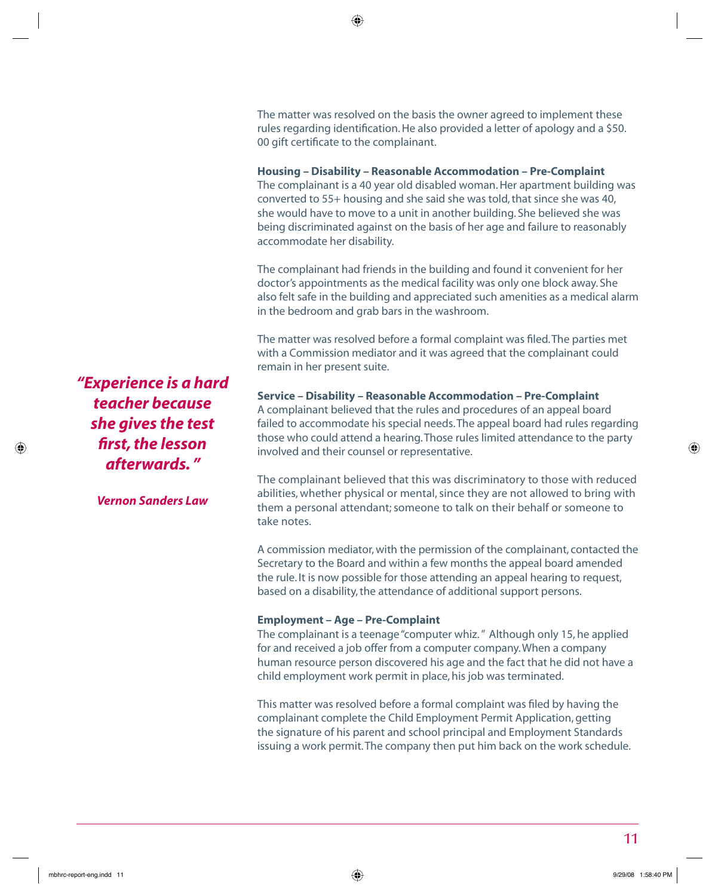The matter was resolved on the basis the owner agreed to implement these rules regarding identification. He also provided a letter of apology and a \$50. 00 gift certificate to the complainant.

#### **Housing – Disability – Reasonable Accommodation – Pre-Complaint**

The complainant is a 40 year old disabled woman. Her apartment building was converted to 55+ housing and she said she was told, that since she was 40, she would have to move to a unit in another building. She believed she was being discriminated against on the basis of her age and failure to reasonably accommodate her disability.

The complainant had friends in the building and found it convenient for her doctor's appointments as the medical facility was only one block away. She also felt safe in the building and appreciated such amenities as a medical alarm in the bedroom and grab bars in the washroom.

The matter was resolved before a formal complaint was filed. The parties met with a Commission mediator and it was agreed that the complainant could remain in her present suite.

**Service – Disability – Reasonable Accommodation – Pre-Complaint** A complainant believed that the rules and procedures of an appeal board failed to accommodate his special needs. The appeal board had rules regarding those who could attend a hearing. Those rules limited attendance to the party involved and their counsel or representative.

The complainant believed that this was discriminatory to those with reduced abilities, whether physical or mental, since they are not allowed to bring with them a personal attendant; someone to talk on their behalf or someone to take notes.

A commission mediator, with the permission of the complainant, contacted the Secretary to the Board and within a few months the appeal board amended the rule. It is now possible for those attending an appeal hearing to request, based on a disability, the attendance of additional support persons.

#### **Employment – Age – Pre-Complaint**

The complainant is a teenage "computer whiz. " Although only 15, he applied for and received a job offer from a computer company. When a company human resource person discovered his age and the fact that he did not have a child employment work permit in place, his job was terminated.

This matter was resolved before a formal complaint was filed by having the complainant complete the Child Employment Permit Application, getting the signature of his parent and school principal and Employment Standards issuing a work permit. The company then put him back on the work schedule.

*"Experience is a hard teacher because she gives the test fi rst, the lesson afterwards. "* 

*Vernon Sanders Law*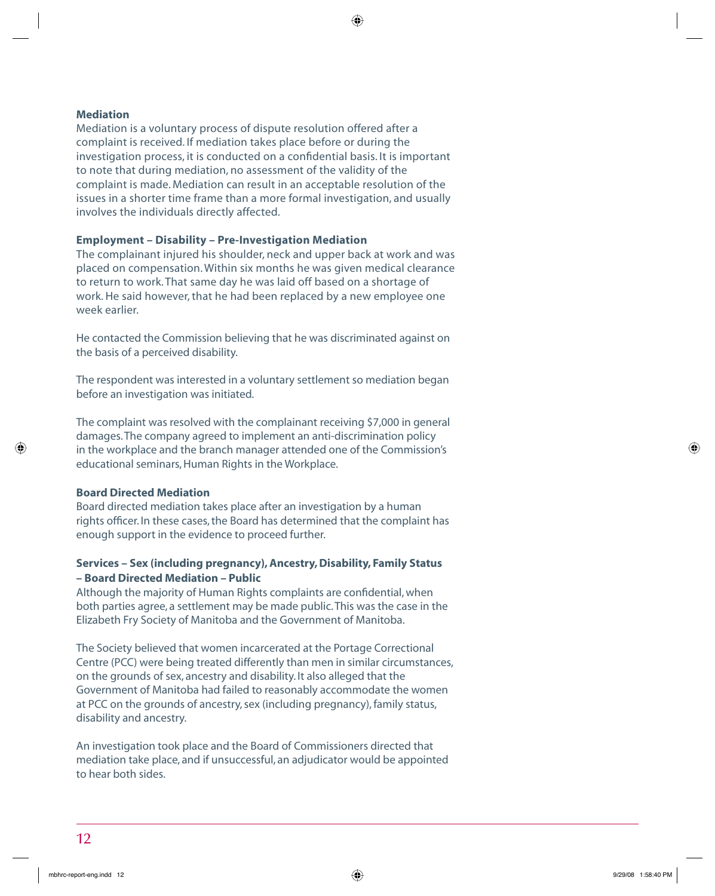#### **Mediation**

Mediation is a voluntary process of dispute resolution offered after a complaint is received. If mediation takes place before or during the investigation process, it is conducted on a confidential basis. It is important to note that during mediation, no assessment of the validity of the complaint is made. Mediation can result in an acceptable resolution of the issues in a shorter time frame than a more formal investigation, and usually involves the individuals directly affected.

#### **Employment – Disability – Pre-Investigation Mediation**

The complainant injured his shoulder, neck and upper back at work and was placed on compensation. Within six months he was given medical clearance to return to work. That same day he was laid off based on a shortage of work. He said however, that he had been replaced by a new employee one week earlier.

He contacted the Commission believing that he was discriminated against on the basis of a perceived disability.

The respondent was interested in a voluntary settlement so mediation began before an investigation was initiated.

The complaint was resolved with the complainant receiving \$7,000 in general damages. The company agreed to implement an anti-discrimination policy in the workplace and the branch manager attended one of the Commission's educational seminars, Human Rights in the Workplace.

#### **Board Directed Mediation**

Board directed mediation takes place after an investigation by a human rights officer. In these cases, the Board has determined that the complaint has enough support in the evidence to proceed further.

### **Services – Sex (including pregnancy), Ancestry, Disability, Family Status – Board Directed Mediation – Public**

Although the majority of Human Rights complaints are confidential, when both parties agree, a settlement may be made public. This was the case in the Elizabeth Fry Society of Manitoba and the Government of Manitoba.

The Society believed that women incarcerated at the Portage Correctional Centre (PCC) were being treated differently than men in similar circumstances, on the grounds of sex, ancestry and disability. It also alleged that the Government of Manitoba had failed to reasonably accommodate the women at PCC on the grounds of ancestry, sex (including pregnancy), family status, disability and ancestry.

An investigation took place and the Board of Commissioners directed that mediation take place, and if unsuccessful, an adjudicator would be appointed to hear both sides.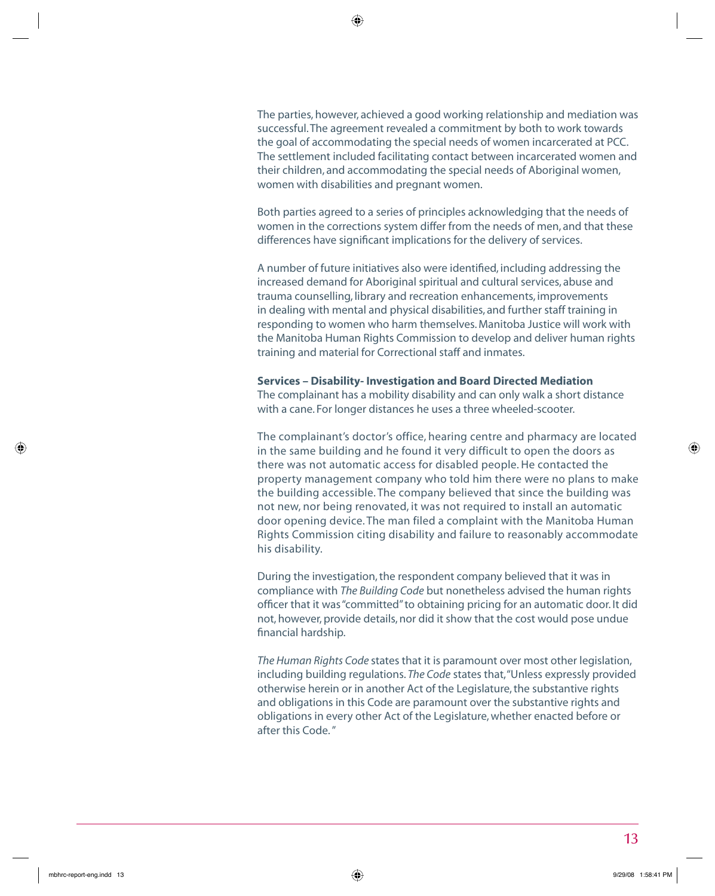The parties, however, achieved a good working relationship and mediation was successful. The agreement revealed a commitment by both to work towards the goal of accommodating the special needs of women incarcerated at PCC. The settlement included facilitating contact between incarcerated women and their children, and accommodating the special needs of Aboriginal women, women with disabilities and pregnant women.

Both parties agreed to a series of principles acknowledging that the needs of women in the corrections system differ from the needs of men, and that these differences have significant implications for the delivery of services.

A number of future initiatives also were identified, including addressing the increased demand for Aboriginal spiritual and cultural services, abuse and trauma counselling, library and recreation enhancements, improvements in dealing with mental and physical disabilities, and further staff training in responding to women who harm themselves. Manitoba Justice will work with the Manitoba Human Rights Commission to develop and deliver human rights training and material for Correctional staff and inmates.

#### **Services – Disability- Investigation and Board Directed Mediation**

The complainant has a mobility disability and can only walk a short distance with a cane. For longer distances he uses a three wheeled-scooter.

The complainant's doctor's office, hearing centre and pharmacy are located in the same building and he found it very difficult to open the doors as there was not automatic access for disabled people. He contacted the property management company who told him there were no plans to make the building accessible. The company believed that since the building was not new, nor being renovated, it was not required to install an automatic door opening device. The man filed a complaint with the Manitoba Human Rights Commission citing disability and failure to reasonably accommodate his disability.

During the investigation, the respondent company believed that it was in compliance with *The Building Code* but nonetheless advised the human rights officer that it was "committed" to obtaining pricing for an automatic door. It did not, however, provide details, nor did it show that the cost would pose undue financial hardship.

*The Human Rights Code* states that it is paramount over most other legislation, including building regulations. *The Code* states that, "Unless expressly provided otherwise herein or in another Act of the Legislature, the substantive rights and obligations in this Code are paramount over the substantive rights and obligations in every other Act of the Legislature, whether enacted before or after this Code. "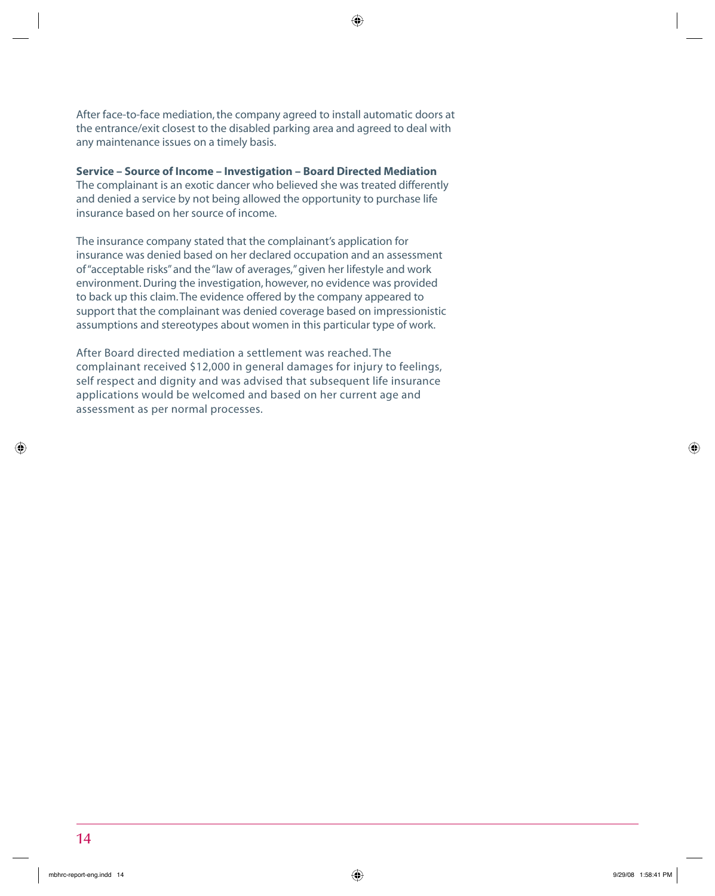After face-to-face mediation, the company agreed to install automatic doors at the entrance/exit closest to the disabled parking area and agreed to deal with any maintenance issues on a timely basis.

#### **Service – Source of Income – Investigation – Board Directed Mediation**

The complainant is an exotic dancer who believed she was treated differently and denied a service by not being allowed the opportunity to purchase life insurance based on her source of income.

The insurance company stated that the complainant's application for insurance was denied based on her declared occupation and an assessment of "acceptable risks" and the "law of averages," given her lifestyle and work environment. During the investigation, however, no evidence was provided to back up this claim. The evidence offered by the company appeared to support that the complainant was denied coverage based on impressionistic assumptions and stereotypes about women in this particular type of work.

After Board directed mediation a settlement was reached. The complainant received \$12,000 in general damages for injury to feelings, self respect and dignity and was advised that subsequent life insurance applications would be welcomed and based on her current age and assessment as per normal processes.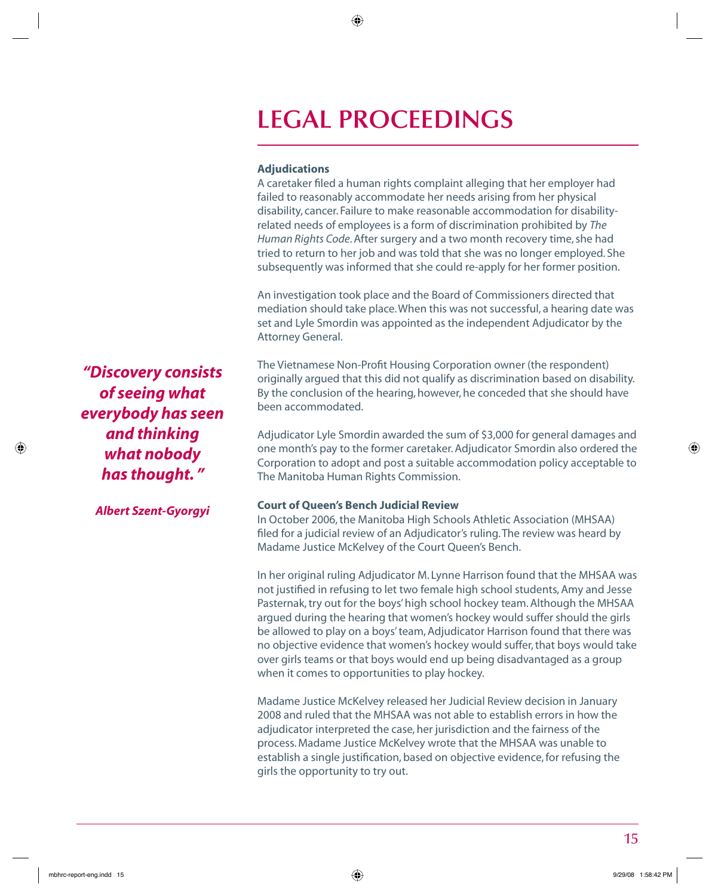## **LEGAL PROCEEDINGS**

#### **Adjudications**

A caretaker filed a human rights complaint alleging that her employer had failed to reasonably accommodate her needs arising from her physical disability, cancer. Failure to make reasonable accommodation for disabilityrelated needs of employees is a form of discrimination prohibited by *The Human Rights Code*. After surgery and a two month recovery time, she had tried to return to her job and was told that she was no longer employed. She subsequently was informed that she could re-apply for her former position.

An investigation took place and the Board of Commissioners directed that mediation should take place. When this was not successful, a hearing date was set and Lyle Smordin was appointed as the independent Adjudicator by the Attorney General.

The Vietnamese Non-Profit Housing Corporation owner (the respondent) originally argued that this did not qualify as discrimination based on disability. By the conclusion of the hearing, however, he conceded that she should have been accommodated.

Adjudicator Lyle Smordin awarded the sum of \$3,000 for general damages and one month's pay to the former caretaker. Adjudicator Smordin also ordered the Corporation to adopt and post a suitable accommodation policy acceptable to The Manitoba Human Rights Commission.

#### **Court of Queen's Bench Judicial Review**

In October 2006, the Manitoba High Schools Athletic Association (MHSAA) filed for a judicial review of an Adjudicator's ruling. The review was heard by Madame Justice McKelvey of the Court Queen's Bench.

In her original ruling Adjudicator M. Lynne Harrison found that the MHSAA was not justified in refusing to let two female high school students, Amy and Jesse Pasternak, try out for the boys' high school hockey team. Although the MHSAA argued during the hearing that women's hockey would suffer should the girls be allowed to play on a boys' team, Adjudicator Harrison found that there was no objective evidence that women's hockey would suffer, that boys would take over girls teams or that boys would end up being disadvantaged as a group when it comes to opportunities to play hockey.

Madame Justice McKelvey released her Judicial Review decision in January 2008 and ruled that the MHSAA was not able to establish errors in how the adjudicator interpreted the case, her jurisdiction and the fairness of the process. Madame Justice McKelvey wrote that the MHSAA was unable to establish a single justification, based on objective evidence, for refusing the girls the opportunity to try out.

*"Discovery consists of seeing what everybody has seen and thinking what nobody has thought. "* 

*Albert Szent-Gyorgyi*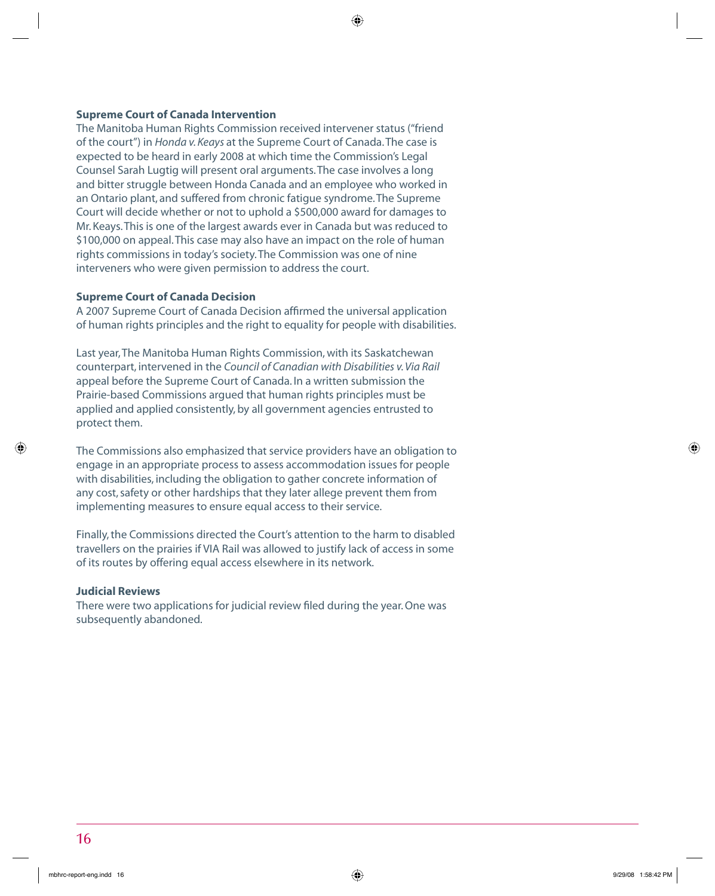#### **Supreme Court of Canada Intervention**

The Manitoba Human Rights Commission received intervener status ("friend of the court") in *Honda v. Keays* at the Supreme Court of Canada. The case is expected to be heard in early 2008 at which time the Commission's Legal Counsel Sarah Lugtig will present oral arguments. The case involves a long and bitter struggle between Honda Canada and an employee who worked in an Ontario plant, and suffered from chronic fatigue syndrome. The Supreme Court will decide whether or not to uphold a \$500,000 award for damages to Mr. Keays. This is one of the largest awards ever in Canada but was reduced to \$100,000 on appeal. This case may also have an impact on the role of human rights commissions in today's society. The Commission was one of nine interveners who were given permission to address the court.

#### **Supreme Court of Canada Decision**

A 2007 Supreme Court of Canada Decision affirmed the universal application of human rights principles and the right to equality for people with disabilities.

Last year, The Manitoba Human Rights Commission, with its Saskatchewan counterpart, intervened in the *Council of Canadian with Disabilities v. Via Rail* appeal before the Supreme Court of Canada. In a written submission the Prairie-based Commissions argued that human rights principles must be applied and applied consistently, by all government agencies entrusted to protect them.

The Commissions also emphasized that service providers have an obligation to engage in an appropriate process to assess accommodation issues for people with disabilities, including the obligation to gather concrete information of any cost, safety or other hardships that they later allege prevent them from implementing measures to ensure equal access to their service.

Finally, the Commissions directed the Court's attention to the harm to disabled travellers on the prairies if VIA Rail was allowed to justify lack of access in some of its routes by offering equal access elsewhere in its network.

#### **Judicial Reviews**

There were two applications for judicial review filed during the year. One was subsequently abandoned.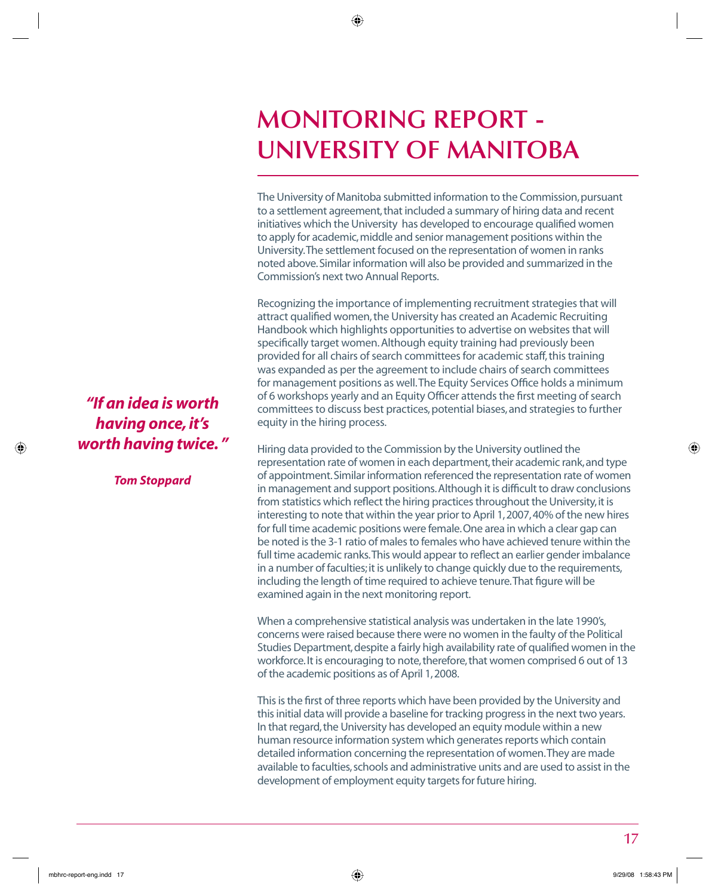## **MONITORING REPORT - UNIVERSITY OF MANITOBA**

The University of Manitoba submitted information to the Commission, pursuant to a settlement agreement, that included a summary of hiring data and recent initiatives which the University has developed to encourage qualified women to apply for academic, middle and senior management positions within the University. The settlement focused on the representation of women in ranks noted above. Similar information will also be provided and summarized in the Commission's next two Annual Reports.

Recognizing the importance of implementing recruitment strategies that will attract qualified women, the University has created an Academic Recruiting Handbook which highlights opportunities to advertise on websites that will specifically target women. Although equity training had previously been provided for all chairs of search committees for academic staff, this training was expanded as per the agreement to include chairs of search committees for management positions as well. The Equity Services Office holds a minimum of 6 workshops yearly and an Equity Officer attends the first meeting of search committees to discuss best practices, potential biases, and strategies to further equity in the hiring process.

Hiring data provided to the Commission by the University outlined the representation rate of women in each department, their academic rank, and type of appointment. Similar information referenced the representation rate of women in management and support positions. Although it is difficult to draw conclusions from statistics which reflect the hiring practices throughout the University, it is interesting to note that within the year prior to April 1, 2007, 40% of the new hires for full time academic positions were female. One area in which a clear gap can be noted is the 3-1 ratio of males to females who have achieved tenure within the full time academic ranks. This would appear to reflect an earlier gender imbalance in a number of faculties; it is unlikely to change quickly due to the requirements, including the length of time required to achieve tenure. That figure will be examined again in the next monitoring report.

When a comprehensive statistical analysis was undertaken in the late 1990's, concerns were raised because there were no women in the faulty of the Political Studies Department, despite a fairly high availability rate of qualified women in the workforce. It is encouraging to note, therefore, that women comprised 6 out of 13 of the academic positions as of April 1, 2008.

This is the first of three reports which have been provided by the University and this initial data will provide a baseline for tracking progress in the next two years. In that regard, the University has developed an equity module within a new human resource information system which generates reports which contain detailed information concerning the representation of women. They are made available to faculties, schools and administrative units and are used to assist in the development of employment equity targets for future hiring.

## *"If an idea is worth having once, it's worth having twice. "*

*Tom Stoppard*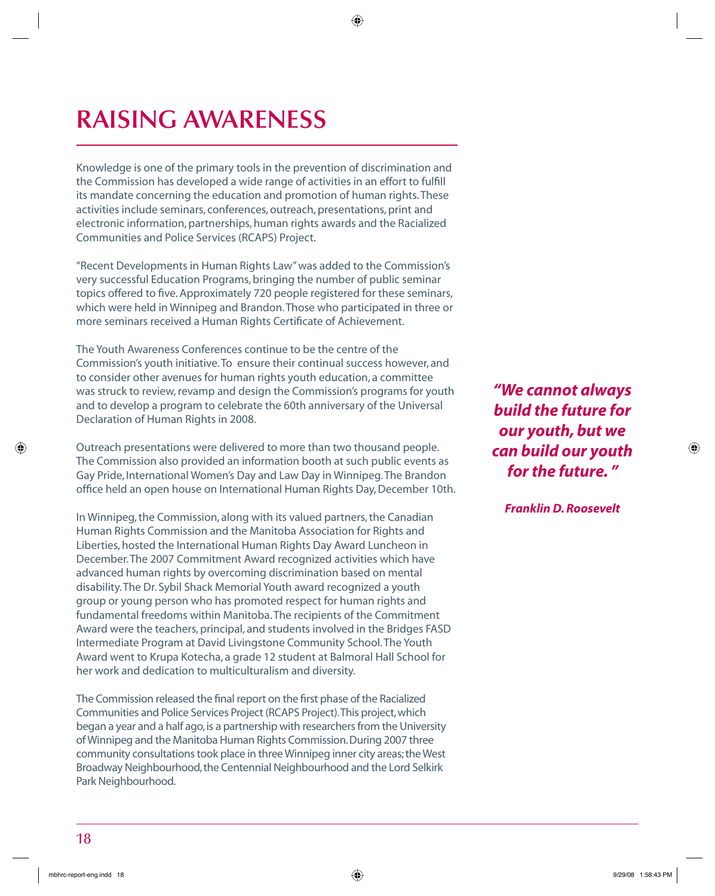# **RAISING AWARENESS**

Knowledge is one of the primary tools in the prevention of discrimination and the Commission has developed a wide range of activities in an effort to fulfill its mandate concerning the education and promotion of human rights. These activities include seminars, conferences, outreach, presentations, print and electronic information, partnerships, human rights awards and the Racialized Communities and Police Services (RCAPS) Project.

"Recent Developments in Human Rights Law" was added to the Commission's very successful Education Programs, bringing the number of public seminar topics offered to five. Approximately 720 people registered for these seminars, which were held in Winnipeg and Brandon. Those who participated in three or more seminars received a Human Rights Certificate of Achievement.

The Youth Awareness Conferences continue to be the centre of the Commission's youth initiative. To ensure their continual success however, and to consider other avenues for human rights youth education, a committee was struck to review, revamp and design the Commission's programs for youth and to develop a program to celebrate the 60th anniversary of the Universal Declaration of Human Rights in 2008.

Outreach presentations were delivered to more than two thousand people. The Commission also provided an information booth at such public events as Gay Pride, International Women's Day and Law Day in Winnipeg. The Brandon office held an open house on International Human Rights Day, December 10th.

In Winnipeg, the Commission, along with its valued partners, the Canadian Human Rights Commission and the Manitoba Association for Rights and Liberties, hosted the International Human Rights Day Award Luncheon in December. The 2007 Commitment Award recognized activities which have advanced human rights by overcoming discrimination based on mental disability. The Dr. Sybil Shack Memorial Youth award recognized a youth group or young person who has promoted respect for human rights and fundamental freedoms within Manitoba. The recipients of the Commitment Award were the teachers, principal, and students involved in the Bridges FASD Intermediate Program at David Livingstone Community School. The Youth Award went to Krupa Kotecha, a grade 12 student at Balmoral Hall School for her work and dedication to multiculturalism and diversity.

The Commission released the final report on the first phase of the Racialized Communities and Police Services Project (RCAPS Project). This project, which began a year and a half ago, is a partnership with researchers from the University of Winnipeg and the Manitoba Human Rights Commission. During 2007 three community consultations took place in three Winnipeg inner city areas; the West Broadway Neighbourhood, the Centennial Neighbourhood and the Lord Selkirk Park Neighbourhood.

*"We cannot always build the future for our youth, but we can build our youth for the future. "* 

*Franklin D. Roosevelt*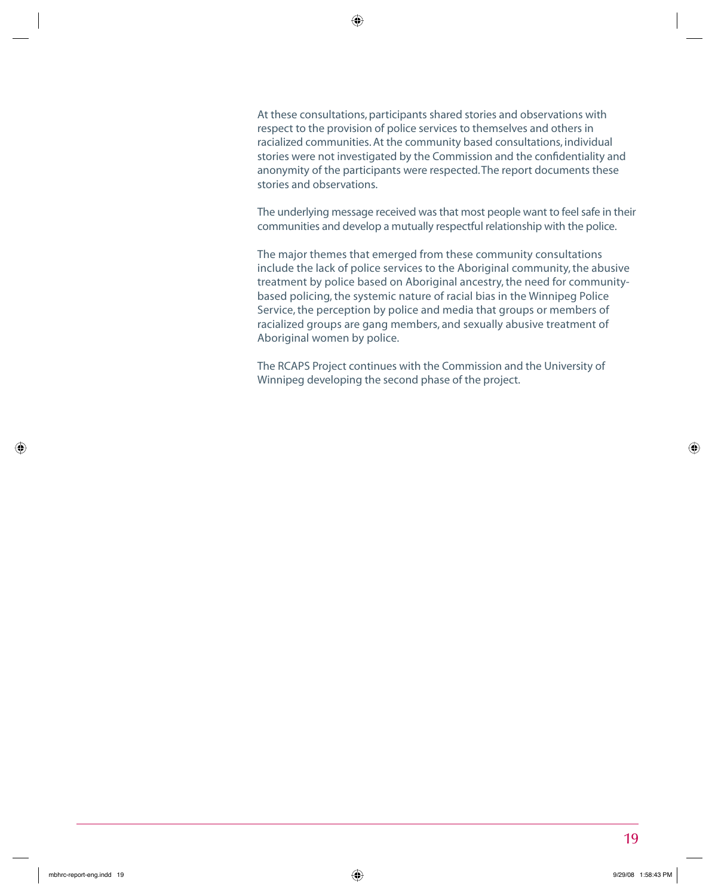At these consultations, participants shared stories and observations with respect to the provision of police services to themselves and others in racialized communities. At the community based consultations, individual stories were not investigated by the Commission and the confidentiality and anonymity of the participants were respected. The report documents these stories and observations.

The underlying message received was that most people want to feel safe in their communities and develop a mutually respectful relationship with the police.

The major themes that emerged from these community consultations include the lack of police services to the Aboriginal community, the abusive treatment by police based on Aboriginal ancestry, the need for communitybased policing, the systemic nature of racial bias in the Winnipeg Police Service, the perception by police and media that groups or members of racialized groups are gang members, and sexually abusive treatment of Aboriginal women by police.

The RCAPS Project continues with the Commission and the University of Winnipeg developing the second phase of the project.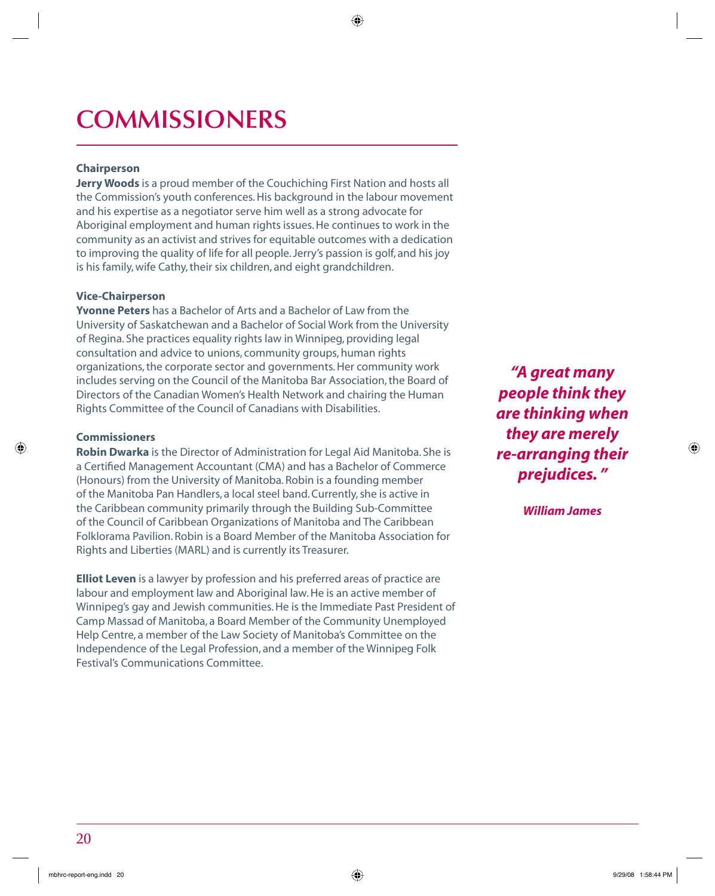# **COMMISSIONERS**

### **Chairperson**

**Jerry Woods** is a proud member of the Couchiching First Nation and hosts all the Commission's youth conferences. His background in the labour movement and his expertise as a negotiator serve him well as a strong advocate for Aboriginal employment and human rights issues. He continues to work in the community as an activist and strives for equitable outcomes with a dedication to improving the quality of life for all people. Jerry's passion is golf, and his joy is his family, wife Cathy, their six children, and eight grandchildren.

#### **Vice-Chairperson**

**Yvonne Peters** has a Bachelor of Arts and a Bachelor of Law from the University of Saskatchewan and a Bachelor of Social Work from the University of Regina. She practices equality rights law in Winnipeg, providing legal consultation and advice to unions, community groups, human rights organizations, the corporate sector and governments. Her community work includes serving on the Council of the Manitoba Bar Association, the Board of Directors of the Canadian Women's Health Network and chairing the Human Rights Committee of the Council of Canadians with Disabilities.

#### **Commissioners**

**Robin Dwarka** is the Director of Administration for Legal Aid Manitoba. She is a Certified Management Accountant (CMA) and has a Bachelor of Commerce (Honours) from the University of Manitoba. Robin is a founding member of the Manitoba Pan Handlers, a local steel band. Currently, she is active in the Caribbean community primarily through the Building Sub-Committee of the Council of Caribbean Organizations of Manitoba and The Caribbean Folklorama Pavilion. Robin is a Board Member of the Manitoba Association for Rights and Liberties (MARL) and is currently its Treasurer.

**Elliot Leven** is a lawyer by profession and his preferred areas of practice are labour and employment law and Aboriginal law. He is an active member of Winnipeg's gay and Jewish communities. He is the Immediate Past President of Camp Massad of Manitoba, a Board Member of the Community Unemployed Help Centre, a member of the Law Society of Manitoba's Committee on the Independence of the Legal Profession, and a member of the Winnipeg Folk Festival's Communications Committee.

*"A great many people think they are thinking when they are merely re-arranging their prejudices. "* 

*William James*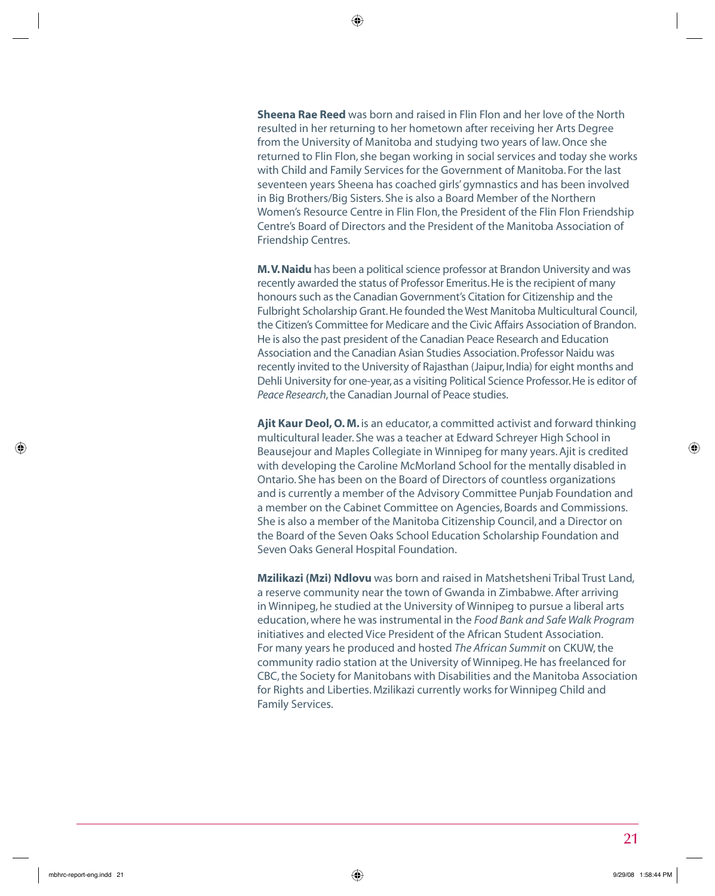**Sheena Rae Reed** was born and raised in Flin Flon and her love of the North resulted in her returning to her hometown after receiving her Arts Degree from the University of Manitoba and studying two years of law. Once she returned to Flin Flon, she began working in social services and today she works with Child and Family Services for the Government of Manitoba. For the last seventeen years Sheena has coached girls' gymnastics and has been involved in Big Brothers/Big Sisters. She is also a Board Member of the Northern Women's Resource Centre in Flin Flon, the President of the Flin Flon Friendship Centre's Board of Directors and the President of the Manitoba Association of Friendship Centres.

**M. V. Naidu** has been a political science professor at Brandon University and was recently awarded the status of Professor Emeritus. He is the recipient of many honours such as the Canadian Government's Citation for Citizenship and the Fulbright Scholarship Grant. He founded the West Manitoba Multicultural Council, the Citizen's Committee for Medicare and the Civic Affairs Association of Brandon. He is also the past president of the Canadian Peace Research and Education Association and the Canadian Asian Studies Association. Professor Naidu was recently invited to the University of Rajasthan (Jaipur, India) for eight months and Dehli University for one-year, as a visiting Political Science Professor. He is editor of *Peace Research*, the Canadian Journal of Peace studies.

**Ajit Kaur Deol, O. M.** is an educator, a committed activist and forward thinking multicultural leader. She was a teacher at Edward Schreyer High School in Beausejour and Maples Collegiate in Winnipeg for many years. Ajit is credited with developing the Caroline McMorland School for the mentally disabled in Ontario. She has been on the Board of Directors of countless organizations and is currently a member of the Advisory Committee Punjab Foundation and a member on the Cabinet Committee on Agencies, Boards and Commissions. She is also a member of the Manitoba Citizenship Council, and a Director on the Board of the Seven Oaks School Education Scholarship Foundation and Seven Oaks General Hospital Foundation.

**Mzilikazi (Mzi) Ndlovu** was born and raised in Matshetsheni Tribal Trust Land, a reserve community near the town of Gwanda in Zimbabwe. After arriving in Winnipeg, he studied at the University of Winnipeg to pursue a liberal arts education, where he was instrumental in the *Food Bank and Safe Walk Program* initiatives and elected Vice President of the African Student Association. For many years he produced and hosted *The African Summit* on CKUW, the community radio station at the University of Winnipeg. He has freelanced for CBC, the Society for Manitobans with Disabilities and the Manitoba Association for Rights and Liberties. Mzilikazi currently works for Winnipeg Child and Family Services.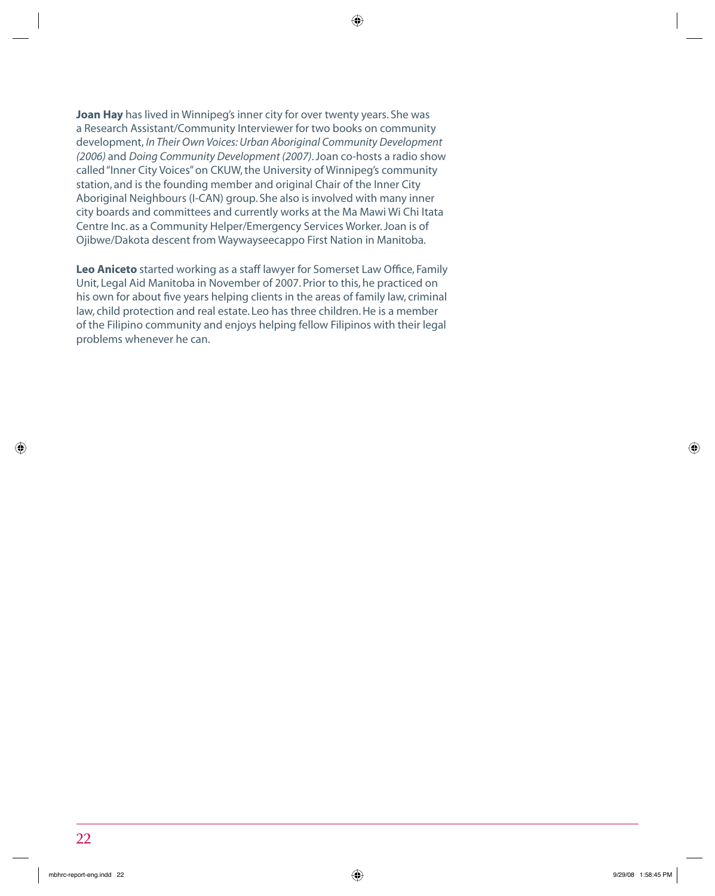**Joan Hay** has lived in Winnipeg's inner city for over twenty years. She was a Research Assistant/Community Interviewer for two books on community development, *In Their Own Voices: Urban Aboriginal Community Development (2006)* and *Doing Community Development (2007)*. Joan co-hosts a radio show called "Inner City Voices" on CKUW, the University of Winnipeg's community station, and is the founding member and original Chair of the Inner City Aboriginal Neighbours (I-CAN) group. She also is involved with many inner city boards and committees and currently works at the Ma Mawi Wi Chi Itata Centre Inc. as a Community Helper/Emergency Services Worker. Joan is of Ojibwe/Dakota descent from Waywayseecappo First Nation in Manitoba.

Leo Aniceto started working as a staff lawyer for Somerset Law Office, Family Unit, Legal Aid Manitoba in November of 2007. Prior to this, he practiced on his own for about five years helping clients in the areas of family law, criminal law, child protection and real estate. Leo has three children. He is a member of the Filipino community and enjoys helping fellow Filipinos with their legal problems whenever he can.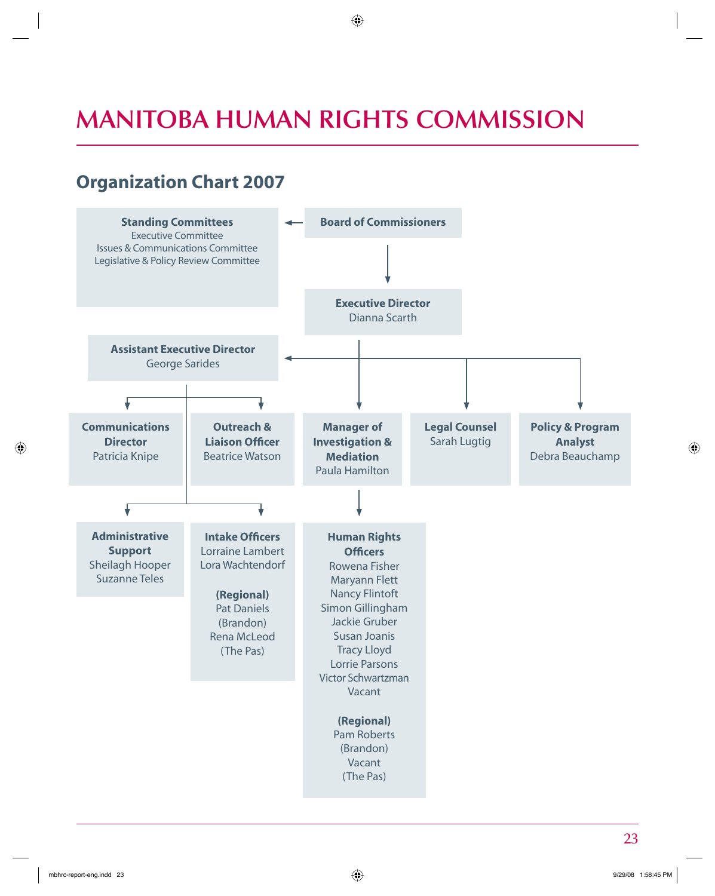## **MANITOBA HUMAN RIGHTS COMMISSION**

## **Organization Chart 2007**

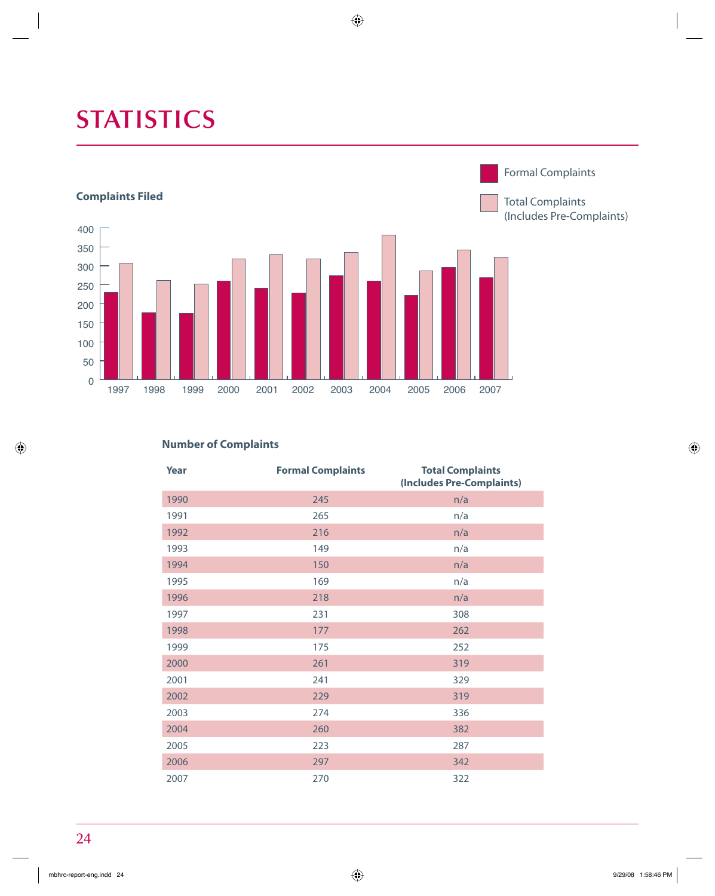# **STATISTICS**



### **Number of Complaints**

| Year | <b>Formal Complaints</b> | <b>Total Complaints</b><br>(Includes Pre-Complaints) |  |  |  |
|------|--------------------------|------------------------------------------------------|--|--|--|
| 1990 | 245                      | n/a                                                  |  |  |  |
| 1991 | 265                      | n/a                                                  |  |  |  |
| 1992 | 216                      | n/a                                                  |  |  |  |
| 1993 | 149                      | n/a                                                  |  |  |  |
| 1994 | 150                      | n/a                                                  |  |  |  |
| 1995 | 169                      | n/a                                                  |  |  |  |
| 1996 | 218                      | n/a                                                  |  |  |  |
| 1997 | 231                      | 308                                                  |  |  |  |
| 1998 | 177                      | 262                                                  |  |  |  |
| 1999 | 175                      | 252                                                  |  |  |  |
| 2000 | 261                      | 319                                                  |  |  |  |
| 2001 | 241                      | 329                                                  |  |  |  |
| 2002 | 229                      | 319                                                  |  |  |  |
| 2003 | 274                      | 336                                                  |  |  |  |
| 2004 | 260                      | 382                                                  |  |  |  |
| 2005 | 223                      | 287                                                  |  |  |  |
| 2006 | 297                      | 342                                                  |  |  |  |
| 2007 | 270                      | 322                                                  |  |  |  |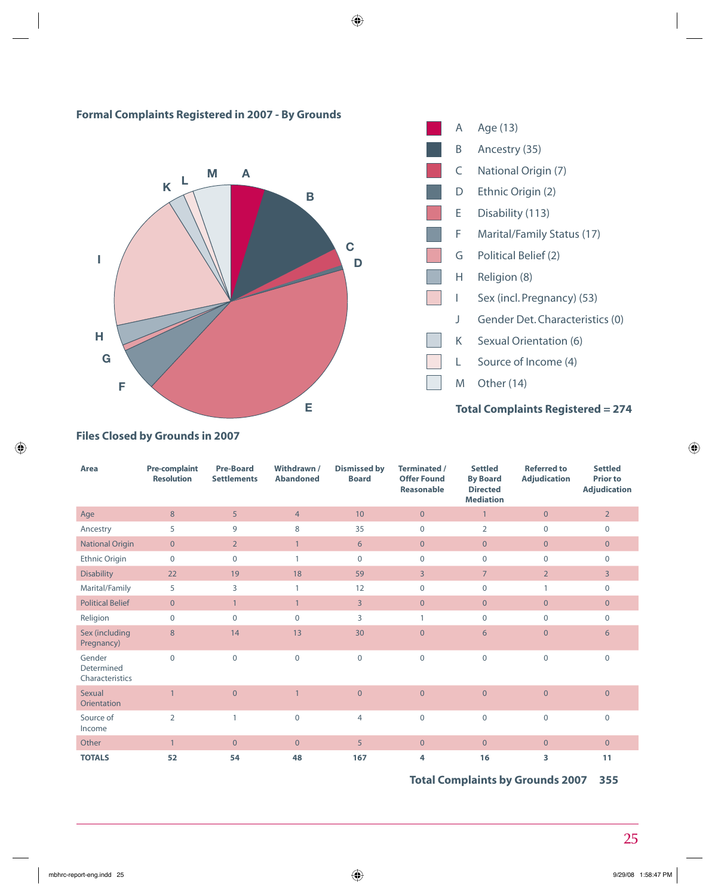

### **Formal Complaints Registered in 2007 - By Grounds**

**Files Closed by Grounds in 2007**

| Area                                    | <b>Pre-complaint</b><br><b>Resolution</b> | <b>Pre-Board</b><br><b>Settlements</b> | Withdrawn /<br><b>Abandoned</b> | <b>Dismissed by</b><br><b>Board</b> | <b>Terminated /</b><br><b>Offer Found</b><br>Reasonable | <b>Settled</b><br><b>By Board</b><br><b>Directed</b><br><b>Mediation</b> | <b>Referred to</b><br><b>Adjudication</b> | <b>Settled</b><br><b>Prior to</b><br><b>Adjudication</b> |
|-----------------------------------------|-------------------------------------------|----------------------------------------|---------------------------------|-------------------------------------|---------------------------------------------------------|--------------------------------------------------------------------------|-------------------------------------------|----------------------------------------------------------|
| Age                                     | 8                                         | 5                                      | $\overline{4}$                  | 10                                  | $\overline{0}$                                          | $\mathbf{1}$                                                             | $\overline{0}$                            | $\overline{2}$                                           |
| Ancestry                                | 5                                         | 9                                      | 8                               | 35                                  | $\mathbf{0}$                                            | $\overline{2}$                                                           | $\mathbf{0}$                              | $\mathbf{0}$                                             |
| <b>National Origin</b>                  | $\overline{0}$                            | $\overline{2}$                         | $\mathbf{1}$                    | 6                                   | $\overline{0}$                                          | $\overline{0}$                                                           | $\overline{0}$                            | $\overline{0}$                                           |
| Ethnic Origin                           | $\mathbf 0$                               | $\mathbf{0}$                           | $\mathbf{1}$                    | $\mathbf{0}$                        | $\mathbf 0$                                             | $\mathbf 0$                                                              | $\mathbf 0$                               | $\mathbf 0$                                              |
| <b>Disability</b>                       | 22                                        | 19                                     | 18                              | 59                                  | $\overline{3}$                                          | $\overline{7}$                                                           | $\overline{2}$                            | 3                                                        |
| Marital/Family                          | 5                                         | 3                                      | 1                               | 12                                  | 0                                                       | $\mathbf 0$                                                              | 1                                         | $\mathbf 0$                                              |
| <b>Political Belief</b>                 | $\overline{0}$                            | $\mathbf{1}$                           | $\mathbf{1}$                    | $\overline{3}$                      | $\overline{0}$                                          | $\overline{0}$                                                           | $\overline{0}$                            | $\overline{0}$                                           |
| Religion                                | $\Omega$                                  | $\Omega$                               | $\Omega$                        | 3                                   | $\mathbf{1}$                                            | $\mathbf 0$                                                              | $\mathbf{0}$                              | $\mathbf{0}$                                             |
| Sex (including<br>Pregnancy)            | 8                                         | 14                                     | 13                              | 30                                  | $\overline{0}$                                          | 6                                                                        | $\overline{0}$                            | 6                                                        |
| Gender<br>Determined<br>Characteristics | $\Omega$                                  | $\mathbf 0$                            | $\overline{0}$                  | $\mathbf{0}$                        | $\mathbf 0$                                             | $\mathbf 0$                                                              | $\mathbf 0$                               | $\mathbf{0}$                                             |
| Sexual<br>Orientation                   |                                           | $\mathbf{0}$                           | $\overline{1}$                  | $\mathbf{0}$                        | $\mathbf{0}$                                            | $\mathbf 0$                                                              | $\mathbf{0}$                              | $\mathbf{0}$                                             |
| Source of<br>Income                     | $\overline{2}$                            | $\mathbf{1}$                           | $\mathbf 0$                     | $\overline{4}$                      | $\mathbf 0$                                             | $\boldsymbol{0}$                                                         | $\mathbf 0$                               | $\mathbf 0$                                              |
| Other                                   | $\mathbf{1}$                              | $\overline{0}$                         | $\overline{0}$                  | 5 <sup>5</sup>                      | $\overline{0}$                                          | $\mathbf 0$                                                              | $\overline{0}$                            | $\overline{0}$                                           |
| <b>TOTALS</b>                           | 52                                        | 54                                     | 48                              | 167                                 | 4                                                       | 16                                                                       | 3                                         | 11                                                       |

**Total Complaints by Grounds 2007 355**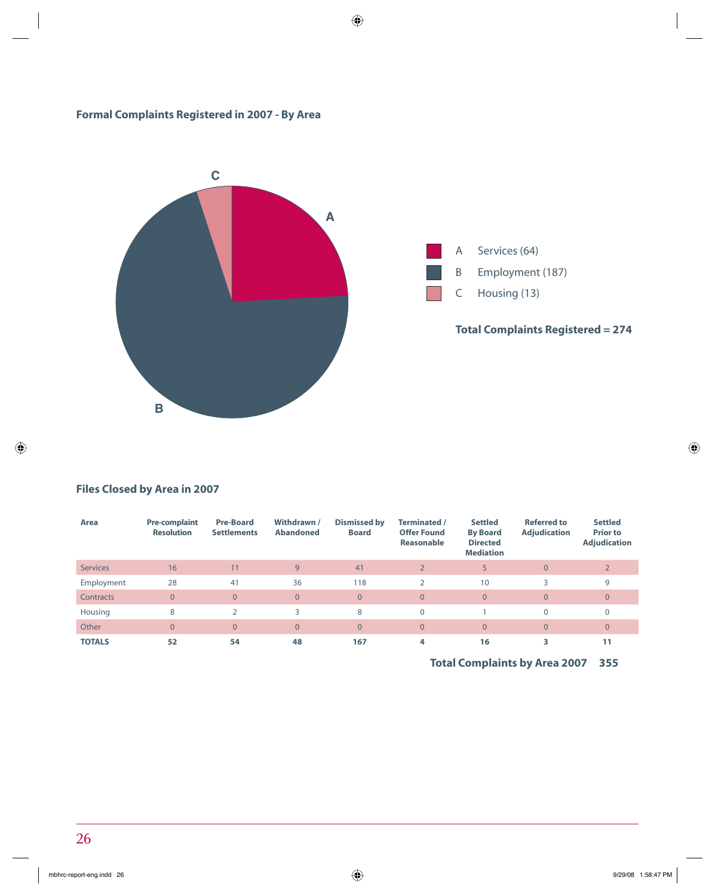### **Formal Complaints Registered in 2007 - By Area**



### **Files Closed by Area in 2007**

| Area            | <b>Pre-complaint</b><br><b>Resolution</b> | <b>Pre-Board</b><br><b>Settlements</b> | Withdrawn /<br><b>Abandoned</b> | Dismissed by<br><b>Board</b> | Terminated /<br><b>Offer Found</b><br>Reasonable | <b>Settled</b><br><b>By Board</b><br><b>Directed</b><br><b>Mediation</b> | <b>Referred to</b><br><b>Adjudication</b> | <b>Settled</b><br><b>Prior to</b><br><b>Adjudication</b> |
|-----------------|-------------------------------------------|----------------------------------------|---------------------------------|------------------------------|--------------------------------------------------|--------------------------------------------------------------------------|-------------------------------------------|----------------------------------------------------------|
| <b>Services</b> | 16                                        | 11                                     | 9                               | 41                           | $\overline{2}$                                   |                                                                          | $\overline{0}$                            |                                                          |
| Employment      | 28                                        | 41                                     | 36                              | 118                          | $\overline{2}$                                   | 10                                                                       |                                           | 9                                                        |
| Contracts       | $\overline{0}$                            | $\Omega$                               | $\overline{0}$                  | $\overline{0}$               | $\overline{0}$                                   | $\overline{0}$                                                           | $\overline{0}$                            | $\mathbf{0}$                                             |
| Housing         | 8                                         | C.                                     | 3                               | 8                            | 0                                                |                                                                          | $\mathbf{0}$                              | $\Omega$                                                 |
| Other           | $\overline{0}$                            | $\overline{0}$                         | $\overline{0}$                  | $\overline{0}$               | $\overline{0}$                                   | $\overline{0}$                                                           | $\overline{0}$                            | $\mathbf{0}$                                             |
| <b>TOTALS</b>   | 52                                        | 54                                     | 48                              | 167                          | 4                                                | 16                                                                       |                                           | 11                                                       |

**Total Complaints by Area 2007 355**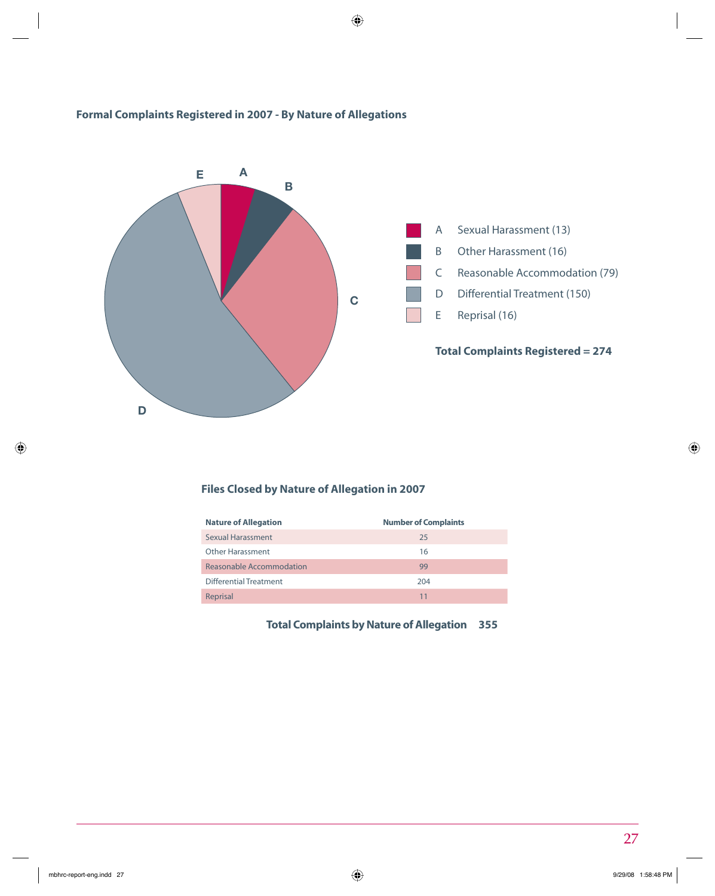### **Formal Complaints Registered in 2007 - By Nature of Allegations**



### **Files Closed by Nature of Allegation in 2007**

| <b>Number of Complaints</b> |
|-----------------------------|
| 25                          |
| 16                          |
| 99                          |
| 204                         |
| 11                          |
|                             |

**Total Complaints by Nature of Allegation 355**